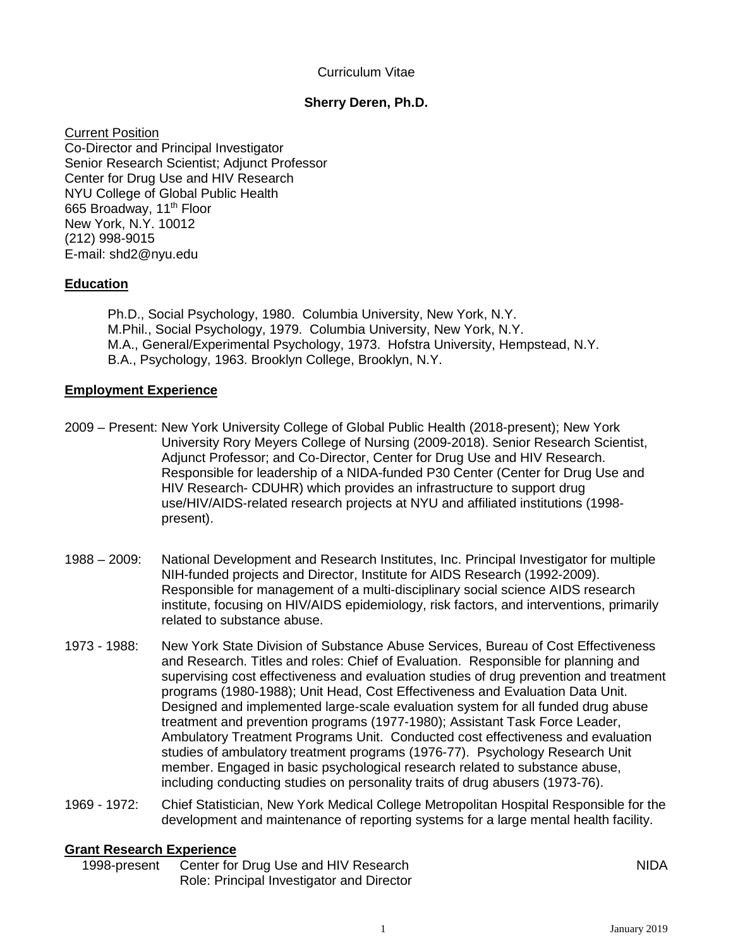# Curriculum Vitae

# **Sherry Deren, Ph.D.**

Current Position Co-Director and Principal Investigator Senior Research Scientist; Adjunct Professor Center for Drug Use and HIV Research NYU College of Global Public Health 665 Broadway, 11<sup>th</sup> Floor New York, N.Y. 10012 (212) 998-9015 E-mail: shd2@nyu.edu

# **Education**

Ph.D., Social Psychology, 1980. Columbia University, New York, N.Y. M.Phil., Social Psychology, 1979. Columbia University, New York, N.Y. M.A., General/Experimental Psychology, 1973. Hofstra University, Hempstead, N.Y. B.A., Psychology, 1963. Brooklyn College, Brooklyn, N.Y.

## **Employment Experience**

- 2009 Present: New York University College of Global Public Health (2018-present); New York University Rory Meyers College of Nursing (2009-2018). Senior Research Scientist, Adjunct Professor; and Co-Director, Center for Drug Use and HIV Research. Responsible for leadership of a NIDA-funded P30 Center (Center for Drug Use and HIV Research- CDUHR) which provides an infrastructure to support drug use/HIV/AIDS-related research projects at NYU and affiliated institutions (1998 present).
- 1988 2009: National Development and Research Institutes, Inc. Principal Investigator for multiple NIH-funded projects and Director, Institute for AIDS Research (1992-2009). Responsible for management of a multi-disciplinary social science AIDS research institute, focusing on HIV/AIDS epidemiology, risk factors, and interventions, primarily related to substance abuse.
- 1973 1988: New York State Division of Substance Abuse Services, Bureau of Cost Effectiveness and Research. Titles and roles: Chief of Evaluation. Responsible for planning and supervising cost effectiveness and evaluation studies of drug prevention and treatment programs (1980-1988); Unit Head, Cost Effectiveness and Evaluation Data Unit. Designed and implemented large-scale evaluation system for all funded drug abuse treatment and prevention programs (1977-1980); Assistant Task Force Leader, Ambulatory Treatment Programs Unit. Conducted cost effectiveness and evaluation studies of ambulatory treatment programs (1976-77). Psychology Research Unit member. Engaged in basic psychological research related to substance abuse, including conducting studies on personality traits of drug abusers (1973-76).
- 1969 1972: Chief Statistician, New York Medical College Metropolitan Hospital Responsible for the development and maintenance of reporting systems for a large mental health facility.

#### **Grant Research Experience**

1998-present Center for Drug Use and HIV Research Role: Principal Investigator and Director NIDA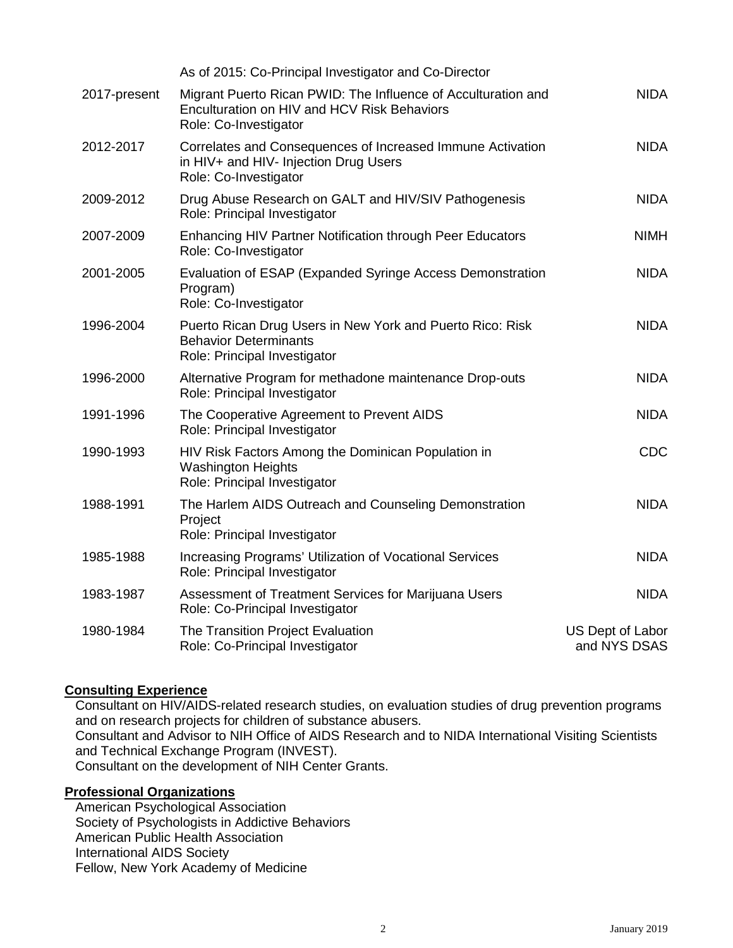|              | As of 2015: Co-Principal Investigator and Co-Director                                                                                 |                                  |
|--------------|---------------------------------------------------------------------------------------------------------------------------------------|----------------------------------|
| 2017-present | Migrant Puerto Rican PWID: The Influence of Acculturation and<br>Enculturation on HIV and HCV Risk Behaviors<br>Role: Co-Investigator | <b>NIDA</b>                      |
| 2012-2017    | Correlates and Consequences of Increased Immune Activation<br>in HIV+ and HIV- Injection Drug Users<br>Role: Co-Investigator          | <b>NIDA</b>                      |
| 2009-2012    | Drug Abuse Research on GALT and HIV/SIV Pathogenesis<br>Role: Principal Investigator                                                  | <b>NIDA</b>                      |
| 2007-2009    | Enhancing HIV Partner Notification through Peer Educators<br>Role: Co-Investigator                                                    | <b>NIMH</b>                      |
| 2001-2005    | Evaluation of ESAP (Expanded Syringe Access Demonstration<br>Program)<br>Role: Co-Investigator                                        | <b>NIDA</b>                      |
| 1996-2004    | Puerto Rican Drug Users in New York and Puerto Rico: Risk<br><b>Behavior Determinants</b><br>Role: Principal Investigator             | <b>NIDA</b>                      |
| 1996-2000    | Alternative Program for methadone maintenance Drop-outs<br>Role: Principal Investigator                                               | <b>NIDA</b>                      |
| 1991-1996    | The Cooperative Agreement to Prevent AIDS<br>Role: Principal Investigator                                                             | <b>NIDA</b>                      |
| 1990-1993    | HIV Risk Factors Among the Dominican Population in<br><b>Washington Heights</b><br>Role: Principal Investigator                       | <b>CDC</b>                       |
| 1988-1991    | The Harlem AIDS Outreach and Counseling Demonstration<br>Project<br>Role: Principal Investigator                                      | <b>NIDA</b>                      |
| 1985-1988    | Increasing Programs' Utilization of Vocational Services<br>Role: Principal Investigator                                               | <b>NIDA</b>                      |
| 1983-1987    | Assessment of Treatment Services for Marijuana Users<br>Role: Co-Principal Investigator                                               | <b>NIDA</b>                      |
| 1980-1984    | The Transition Project Evaluation<br>Role: Co-Principal Investigator                                                                  | US Dept of Labor<br>and NYS DSAS |

# **Consulting Experience**

Consultant on HIV/AIDS-related research studies, on evaluation studies of drug prevention programs and on research projects for children of substance abusers. Consultant and Advisor to NIH Office of AIDS Research and to NIDA International Visiting Scientists and Technical Exchange Program (INVEST). Consultant on the development of NIH Center Grants.

# **Professional Organizations**

American Psychological Association Society of Psychologists in Addictive Behaviors American Public Health Association International AIDS Society Fellow, New York Academy of Medicine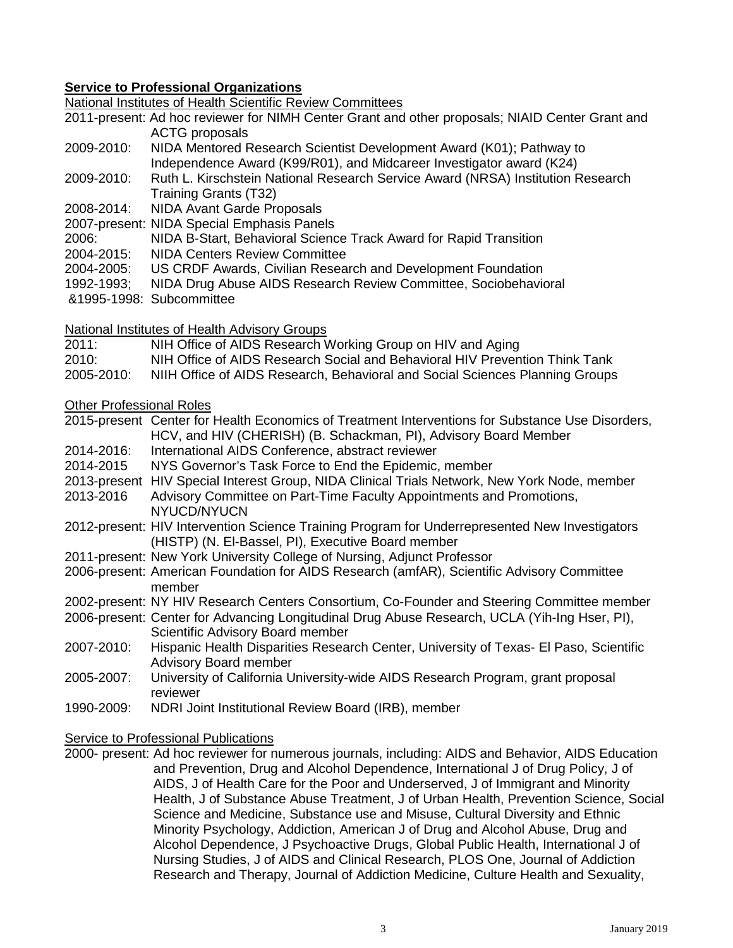# **Service to Professional Organizations**

National Institutes of Health Scientific Review Committees

2011-present: Ad hoc reviewer for NIMH Center Grant and other proposals; NIAID Center Grant and ACTG proposals

- 2009-2010: NIDA Mentored Research Scientist Development Award (K01); Pathway to Independence Award (K99/R01), and Midcareer Investigator award (K24)
- 2009-2010: Ruth L. Kirschstein National Research Service Award (NRSA) Institution Research Training Grants (T32)
- 2008-2014: NIDA Avant Garde Proposals
- 2007-present: NIDA Special Emphasis Panels
- 2006: NIDA B-Start, Behavioral Science Track Award for Rapid Transition
- 2004-2015: NIDA Centers Review Committee
- 2004-2005: US CRDF Awards, Civilian Research and Development Foundation
- 1992-1993; NIDA Drug Abuse AIDS Research Review Committee, Sociobehavioral
- &1995-1998: Subcommittee

National Institutes of Health Advisory Groups

- 2011: NIH Office of AIDS Research Working Group on HIV and Aging
- 2010: NIH Office of AIDS Research Social and Behavioral HIV Prevention Think Tank
- 2005-2010: NIIH Office of AIDS Research, Behavioral and Social Sciences Planning Groups

## Other Professional Roles

- 2015-present Center for Health Economics of Treatment Interventions for Substance Use Disorders, HCV, and HIV (CHERISH) (B. Schackman, PI), Advisory Board Member
- 2014-2016: International AIDS Conference, abstract reviewer
- 2014-2015 NYS Governor's Task Force to End the Epidemic, member
- 2013-present HIV Special Interest Group, NIDA Clinical Trials Network, New York Node, member
- 2013-2016 Advisory Committee on Part-Time Faculty Appointments and Promotions, NYUCD/NYUCN
- 2012-present: HIV Intervention Science Training Program for Underrepresented New Investigators (HISTP) (N. El-Bassel, PI), Executive Board member
- 2011-present: New York University College of Nursing, Adjunct Professor
- 2006-present: American Foundation for AIDS Research (amfAR), Scientific Advisory Committee member
- 2002-present: NY HIV Research Centers Consortium, Co-Founder and Steering Committee member
- 2006-present: Center for Advancing Longitudinal Drug Abuse Research, UCLA (Yih-Ing Hser, PI), Scientific Advisory Board member
- 2007-2010: Hispanic Health Disparities Research Center, University of Texas- El Paso, Scientific Advisory Board member
- 2005-2007: University of California University-wide AIDS Research Program, grant proposal reviewer
- 1990-2009: NDRI Joint Institutional Review Board (IRB), member

#### Service to Professional Publications

2000- present: Ad hoc reviewer for numerous journals, including: AIDS and Behavior, AIDS Education and Prevention, Drug and Alcohol Dependence, International J of Drug Policy, J of AIDS, J of Health Care for the Poor and Underserved, J of Immigrant and Minority Health, J of Substance Abuse Treatment, J of Urban Health, Prevention Science, Social Science and Medicine, Substance use and Misuse, Cultural Diversity and Ethnic Minority Psychology, Addiction, American J of Drug and Alcohol Abuse, Drug and Alcohol Dependence, J Psychoactive Drugs, Global Public Health, International J of Nursing Studies, J of AIDS and Clinical Research, PLOS One, Journal of Addiction Research and Therapy, Journal of Addiction Medicine, Culture Health and Sexuality,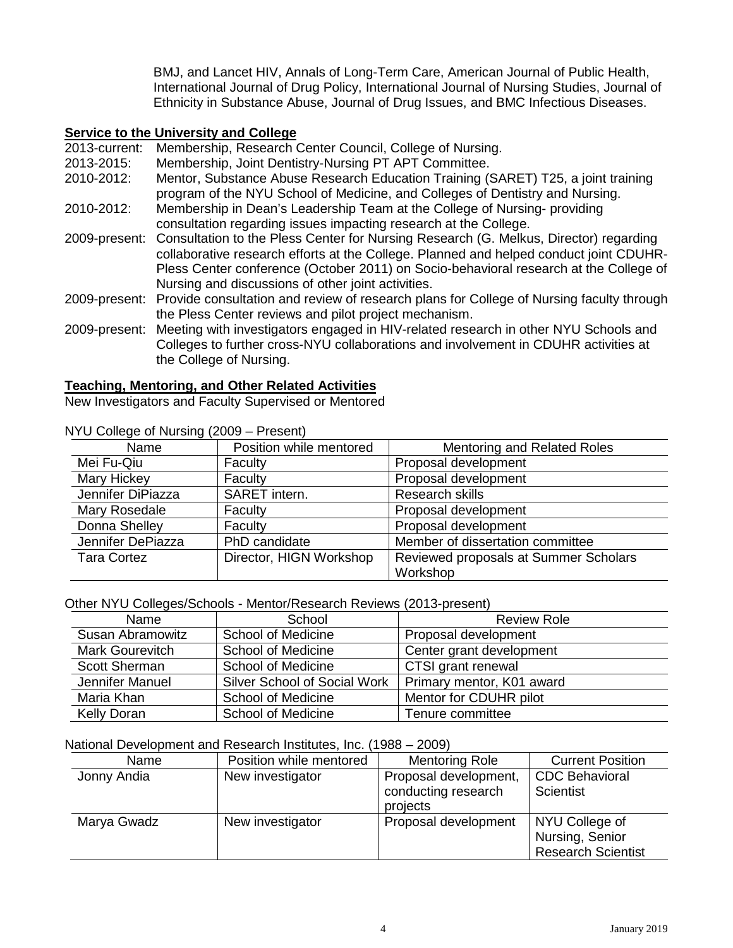BMJ, and Lancet HIV, Annals of Long-Term Care, American Journal of Public Health, International Journal of Drug Policy, International Journal of Nursing Studies, Journal of Ethnicity in Substance Abuse, Journal of Drug Issues, and BMC Infectious Diseases.

## **Service to the University and College**

2013-current: Membership, Research Center Council, College of Nursing.

2013-2015: Membership, Joint Dentistry-Nursing PT APT Committee.

2010-2012: Mentor, Substance Abuse Research Education Training (SARET) T25, a joint training program of the NYU School of Medicine, and Colleges of Dentistry and Nursing.

- 2010-2012: Membership in Dean's Leadership Team at the College of Nursing- providing consultation regarding issues impacting research at the College.
- 2009-present: Consultation to the Pless Center for Nursing Research (G. Melkus, Director) regarding collaborative research efforts at the College. Planned and helped conduct joint CDUHR-Pless Center conference (October 2011) on Socio-behavioral research at the College of Nursing and discussions of other joint activities.
- 2009-present: Provide consultation and review of research plans for College of Nursing faculty through the Pless Center reviews and pilot project mechanism.
- 2009-present: Meeting with investigators engaged in HIV-related research in other NYU Schools and Colleges to further cross-NYU collaborations and involvement in CDUHR activities at the College of Nursing.

#### **Teaching, Mentoring, and Other Related Activities**

New Investigators and Faculty Supervised or Mentored

| The college of that sing (2000) The sent |                         |                                       |
|------------------------------------------|-------------------------|---------------------------------------|
| Name                                     | Position while mentored | <b>Mentoring and Related Roles</b>    |
| Mei Fu-Qiu                               | Faculty                 | Proposal development                  |
| <b>Mary Hickey</b>                       | Faculty                 | Proposal development                  |
| Jennifer DiPiazza                        | SARET intern.           | Research skills                       |
| Mary Rosedale                            | Faculty                 | Proposal development                  |
| Donna Shelley                            | Faculty                 | Proposal development                  |
| Jennifer DePiazza                        | PhD candidate           | Member of dissertation committee      |
| <b>Tara Cortez</b>                       | Director, HIGN Workshop | Reviewed proposals at Summer Scholars |
|                                          |                         | Workshop                              |

NYU College of Nursing (2009 – Present)

#### Other NYU Colleges/Schools - Mentor/Research Reviews (2013-present)

| Name                   | School                              | <b>Review Role</b>        |
|------------------------|-------------------------------------|---------------------------|
| Susan Abramowitz       | <b>School of Medicine</b>           | Proposal development      |
| <b>Mark Gourevitch</b> | <b>School of Medicine</b>           | Center grant development  |
| <b>Scott Sherman</b>   | School of Medicine                  | CTSI grant renewal        |
| Jennifer Manuel        | <b>Silver School of Social Work</b> | Primary mentor, K01 award |
| Maria Khan             | <b>School of Medicine</b>           | Mentor for CDUHR pilot    |
| Kelly Doran            | <b>School of Medicine</b>           | Tenure committee          |

#### National Development and Research Institutes, Inc. (1988 – 2009)

| Name        | Position while mentored | <b>Mentoring Role</b>                                    | <b>Current Position</b>                                        |
|-------------|-------------------------|----------------------------------------------------------|----------------------------------------------------------------|
| Jonny Andia | New investigator        | Proposal development,<br>conducting research<br>projects | <b>CDC Behavioral</b><br>Scientist                             |
| Marya Gwadz | New investigator        | Proposal development                                     | NYU College of<br>Nursing, Senior<br><b>Research Scientist</b> |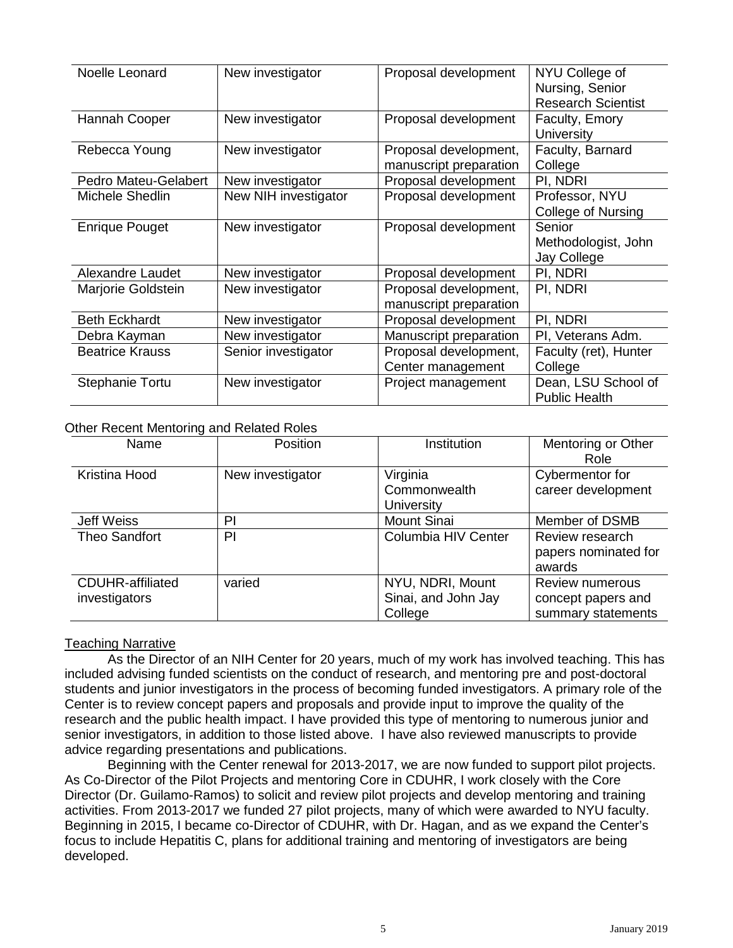| Noelle Leonard         | New investigator     | Proposal development   | NYU College of            |
|------------------------|----------------------|------------------------|---------------------------|
|                        |                      |                        | Nursing, Senior           |
|                        |                      |                        | <b>Research Scientist</b> |
| Hannah Cooper          | New investigator     | Proposal development   | Faculty, Emory            |
|                        |                      |                        | University                |
| Rebecca Young          | New investigator     | Proposal development,  | Faculty, Barnard          |
|                        |                      | manuscript preparation | College                   |
| Pedro Mateu-Gelabert   | New investigator     | Proposal development   | PI, NDRI                  |
| Michele Shedlin        | New NIH investigator | Proposal development   | Professor, NYU            |
|                        |                      |                        | <b>College of Nursing</b> |
| <b>Enrique Pouget</b>  | New investigator     | Proposal development   | Senior                    |
|                        |                      |                        | Methodologist, John       |
|                        |                      |                        | Jay College               |
| Alexandre Laudet       | New investigator     | Proposal development   | PI, NDRI                  |
| Marjorie Goldstein     | New investigator     | Proposal development,  | PI, NDRI                  |
|                        |                      | manuscript preparation |                           |
| <b>Beth Eckhardt</b>   | New investigator     | Proposal development   | PI, NDRI                  |
| Debra Kayman           | New investigator     | Manuscript preparation | PI, Veterans Adm.         |
| <b>Beatrice Krauss</b> | Senior investigator  | Proposal development,  | Faculty (ret), Hunter     |
|                        |                      | Center management      | College                   |
| <b>Stephanie Tortu</b> | New investigator     | Project management     | Dean, LSU School of       |
|                        |                      |                        | <b>Public Health</b>      |

#### Other Recent Mentoring and Related Roles

| Name                                     | Position         | Institution                                        | Mentoring or Other<br>Role                                  |
|------------------------------------------|------------------|----------------------------------------------------|-------------------------------------------------------------|
| Kristina Hood                            | New investigator | Virginia<br>Commonwealth<br><b>University</b>      | Cybermentor for<br>career development                       |
| <b>Jeff Weiss</b>                        | PI               | <b>Mount Sinai</b>                                 | Member of DSMB                                              |
| Theo Sandfort                            | PI               | Columbia HIV Center                                | Review research<br>papers nominated for<br>awards           |
| <b>CDUHR-affiliated</b><br>investigators | varied           | NYU, NDRI, Mount<br>Sinai, and John Jay<br>College | Review numerous<br>concept papers and<br>summary statements |

#### Teaching Narrative

As the Director of an NIH Center for 20 years, much of my work has involved teaching. This has included advising funded scientists on the conduct of research, and mentoring pre and post-doctoral students and junior investigators in the process of becoming funded investigators. A primary role of the Center is to review concept papers and proposals and provide input to improve the quality of the research and the public health impact. I have provided this type of mentoring to numerous junior and senior investigators, in addition to those listed above. I have also reviewed manuscripts to provide advice regarding presentations and publications.

Beginning with the Center renewal for 2013-2017, we are now funded to support pilot projects. As Co-Director of the Pilot Projects and mentoring Core in CDUHR, I work closely with the Core Director (Dr. Guilamo-Ramos) to solicit and review pilot projects and develop mentoring and training activities. From 2013-2017 we funded 27 pilot projects, many of which were awarded to NYU faculty. Beginning in 2015, I became co-Director of CDUHR, with Dr. Hagan, and as we expand the Center's focus to include Hepatitis C, plans for additional training and mentoring of investigators are being developed.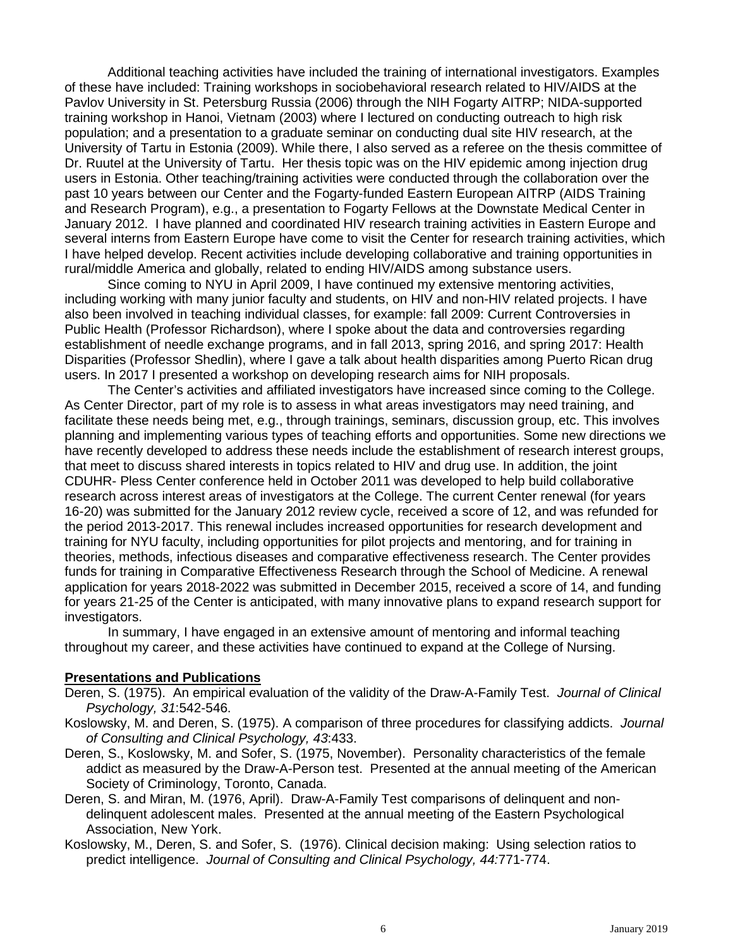Additional teaching activities have included the training of international investigators. Examples of these have included: Training workshops in sociobehavioral research related to HIV/AIDS at the Pavlov University in St. Petersburg Russia (2006) through the NIH Fogarty AITRP; NIDA-supported training workshop in Hanoi, Vietnam (2003) where I lectured on conducting outreach to high risk population; and a presentation to a graduate seminar on conducting dual site HIV research, at the University of Tartu in Estonia (2009). While there, I also served as a referee on the thesis committee of Dr. Ruutel at the University of Tartu. Her thesis topic was on the HIV epidemic among injection drug users in Estonia. Other teaching/training activities were conducted through the collaboration over the past 10 years between our Center and the Fogarty-funded Eastern European AITRP (AIDS Training and Research Program), e.g., a presentation to Fogarty Fellows at the Downstate Medical Center in January 2012. I have planned and coordinated HIV research training activities in Eastern Europe and several interns from Eastern Europe have come to visit the Center for research training activities, which I have helped develop. Recent activities include developing collaborative and training opportunities in rural/middle America and globally, related to ending HIV/AIDS among substance users.

Since coming to NYU in April 2009, I have continued my extensive mentoring activities, including working with many junior faculty and students, on HIV and non-HIV related projects. I have also been involved in teaching individual classes, for example: fall 2009: Current Controversies in Public Health (Professor Richardson), where I spoke about the data and controversies regarding establishment of needle exchange programs, and in fall 2013, spring 2016, and spring 2017: Health Disparities (Professor Shedlin), where I gave a talk about health disparities among Puerto Rican drug users. In 2017 I presented a workshop on developing research aims for NIH proposals.

The Center's activities and affiliated investigators have increased since coming to the College. As Center Director, part of my role is to assess in what areas investigators may need training, and facilitate these needs being met, e.g., through trainings, seminars, discussion group, etc. This involves planning and implementing various types of teaching efforts and opportunities. Some new directions we have recently developed to address these needs include the establishment of research interest groups, that meet to discuss shared interests in topics related to HIV and drug use. In addition, the joint CDUHR- Pless Center conference held in October 2011 was developed to help build collaborative research across interest areas of investigators at the College. The current Center renewal (for years 16-20) was submitted for the January 2012 review cycle, received a score of 12, and was refunded for the period 2013-2017. This renewal includes increased opportunities for research development and training for NYU faculty, including opportunities for pilot projects and mentoring, and for training in theories, methods, infectious diseases and comparative effectiveness research. The Center provides funds for training in Comparative Effectiveness Research through the School of Medicine. A renewal application for years 2018-2022 was submitted in December 2015, received a score of 14, and funding for years 21-25 of the Center is anticipated, with many innovative plans to expand research support for investigators.

In summary, I have engaged in an extensive amount of mentoring and informal teaching throughout my career, and these activities have continued to expand at the College of Nursing.

# **Presentations and Publications**

- Deren, S. (1975). An empirical evaluation of the validity of the Draw-A-Family Test. *Journal of Clinical Psychology, 31*:542-546.
- Koslowsky, M. and Deren, S. (1975). A comparison of three procedures for classifying addicts. *Journal of Consulting and Clinical Psychology, 43*:433.
- Deren, S., Koslowsky, M. and Sofer, S. (1975, November). Personality characteristics of the female addict as measured by the Draw-A-Person test. Presented at the annual meeting of the American Society of Criminology, Toronto, Canada.
- Deren, S. and Miran, M. (1976, April). Draw-A-Family Test comparisons of delinquent and nondelinquent adolescent males. Presented at the annual meeting of the Eastern Psychological Association, New York.
- Koslowsky, M., Deren, S. and Sofer, S. (1976). Clinical decision making: Using selection ratios to predict intelligence. *Journal of Consulting and Clinical Psychology, 44:*771-774.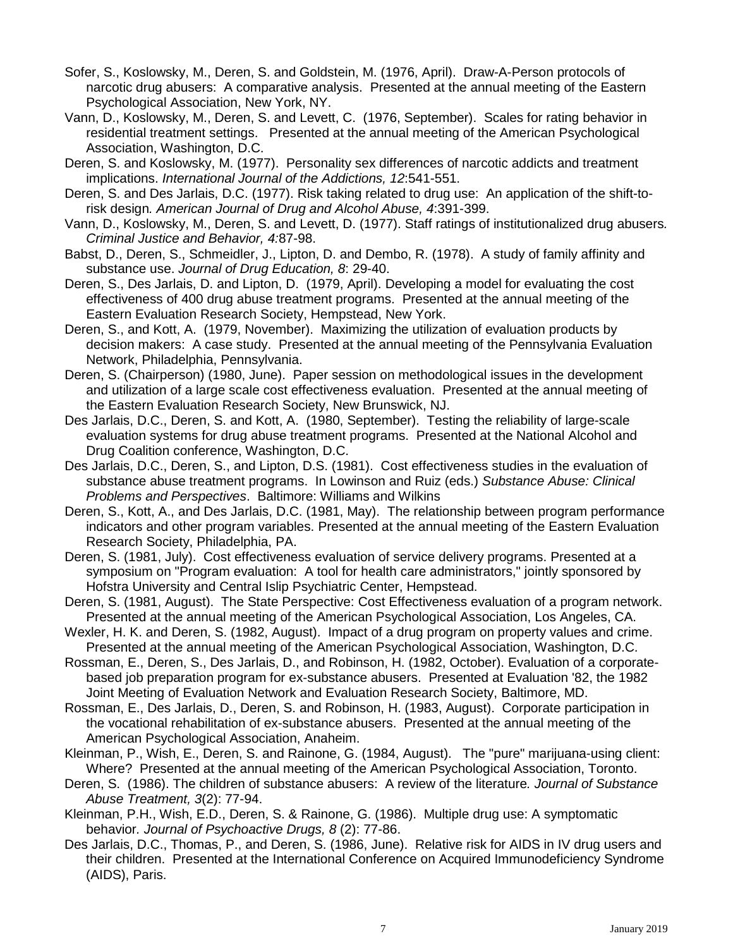- Sofer, S., Koslowsky, M., Deren, S. and Goldstein, M. (1976, April). Draw-A-Person protocols of narcotic drug abusers: A comparative analysis. Presented at the annual meeting of the Eastern Psychological Association, New York, NY.
- Vann, D., Koslowsky, M., Deren, S. and Levett, C. (1976, September). Scales for rating behavior in residential treatment settings. Presented at the annual meeting of the American Psychological Association, Washington, D.C.
- Deren, S. and Koslowsky, M. (1977). Personality sex differences of narcotic addicts and treatment implications. *International Journal of the Addictions, 12*:541-551.
- Deren, S. and Des Jarlais, D.C. (1977). Risk taking related to drug use: An application of the shift-torisk design*. American Journal of Drug and Alcohol Abuse, 4*:391-399.
- Vann, D., Koslowsky, M., Deren, S. and Levett, D. (1977). Staff ratings of institutionalized drug abusers*. Criminal Justice and Behavior, 4:*87-98.
- Babst, D., Deren, S., Schmeidler, J., Lipton, D. and Dembo, R. (1978). A study of family affinity and substance use. *Journal of Drug Education, 8*: 29-40.
- Deren, S., Des Jarlais, D. and Lipton, D. (1979, April). Developing a model for evaluating the cost effectiveness of 400 drug abuse treatment programs. Presented at the annual meeting of the Eastern Evaluation Research Society, Hempstead, New York.
- Deren, S., and Kott, A. (1979, November). Maximizing the utilization of evaluation products by decision makers: A case study. Presented at the annual meeting of the Pennsylvania Evaluation Network, Philadelphia, Pennsylvania.
- Deren, S. (Chairperson) (1980, June). Paper session on methodological issues in the development and utilization of a large scale cost effectiveness evaluation. Presented at the annual meeting of the Eastern Evaluation Research Society, New Brunswick, NJ.
- Des Jarlais, D.C., Deren, S. and Kott, A. (1980, September). Testing the reliability of large-scale evaluation systems for drug abuse treatment programs. Presented at the National Alcohol and Drug Coalition conference, Washington, D.C.
- Des Jarlais, D.C., Deren, S., and Lipton, D.S. (1981). Cost effectiveness studies in the evaluation of substance abuse treatment programs. In Lowinson and Ruiz (eds.) *Substance Abuse: Clinical Problems and Perspectives*. Baltimore: Williams and Wilkins
- Deren, S., Kott, A., and Des Jarlais, D.C. (1981, May). The relationship between program performance indicators and other program variables. Presented at the annual meeting of the Eastern Evaluation Research Society, Philadelphia, PA.
- Deren, S. (1981, July). Cost effectiveness evaluation of service delivery programs. Presented at a symposium on "Program evaluation: A tool for health care administrators," jointly sponsored by Hofstra University and Central Islip Psychiatric Center, Hempstead.
- Deren, S. (1981, August). The State Perspective: Cost Effectiveness evaluation of a program network. Presented at the annual meeting of the American Psychological Association, Los Angeles, CA.
- Wexler, H. K. and Deren, S. (1982, August). Impact of a drug program on property values and crime. Presented at the annual meeting of the American Psychological Association, Washington, D.C.
- Rossman, E., Deren, S., Des Jarlais, D., and Robinson, H. (1982, October). Evaluation of a corporatebased job preparation program for ex-substance abusers. Presented at Evaluation '82, the 1982 Joint Meeting of Evaluation Network and Evaluation Research Society, Baltimore, MD.
- Rossman, E., Des Jarlais, D., Deren, S. and Robinson, H. (1983, August). Corporate participation in the vocational rehabilitation of ex-substance abusers. Presented at the annual meeting of the American Psychological Association, Anaheim.
- Kleinman, P., Wish, E., Deren, S. and Rainone, G. (1984, August). The "pure" marijuana-using client: Where? Presented at the annual meeting of the American Psychological Association, Toronto.
- Deren, S. (1986). The children of substance abusers: A review of the literature*. Journal of Substance Abuse Treatment, 3*(2): 77-94.
- Kleinman, P.H., Wish, E.D., Deren, S. & Rainone, G. (1986). Multiple drug use: A symptomatic behavior*. Journal of Psychoactive Drugs, 8* (2): 77-86.
- Des Jarlais, D.C., Thomas, P., and Deren, S. (1986, June). Relative risk for AIDS in IV drug users and their children. Presented at the International Conference on Acquired Immunodeficiency Syndrome (AIDS), Paris.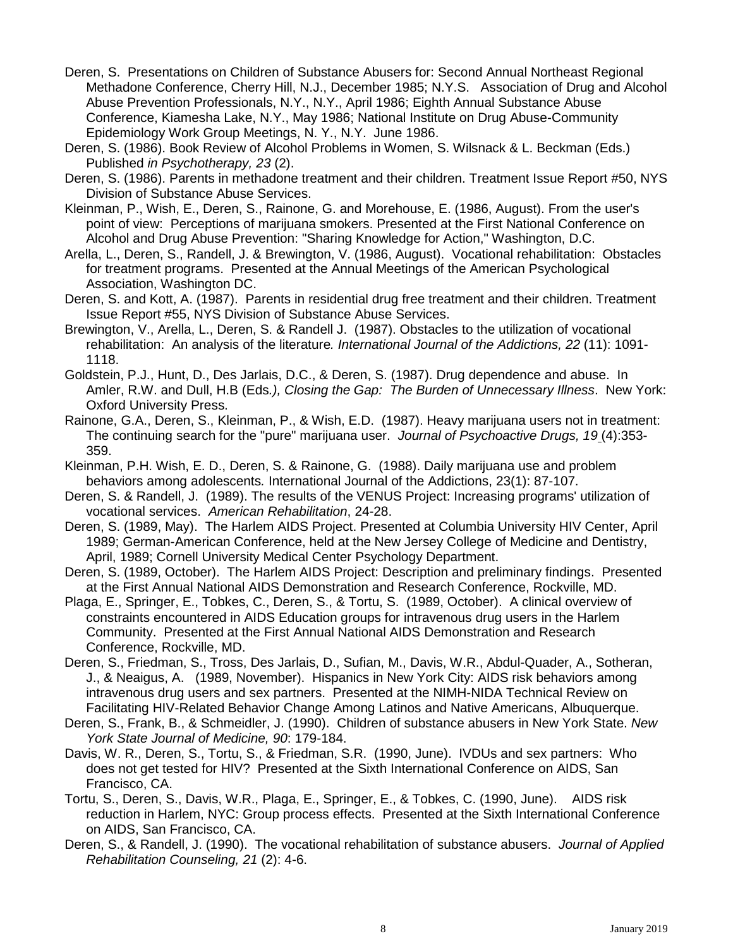- Deren, S. Presentations on Children of Substance Abusers for: Second Annual Northeast Regional Methadone Conference, Cherry Hill, N.J., December 1985; N.Y.S. Association of Drug and Alcohol Abuse Prevention Professionals, N.Y., N.Y., April 1986; Eighth Annual Substance Abuse Conference, Kiamesha Lake, N.Y., May 1986; National Institute on Drug Abuse-Community Epidemiology Work Group Meetings, N. Y., N.Y. June 1986.
- Deren, S. (1986). Book Review of Alcohol Problems in Women, S. Wilsnack & L. Beckman (Eds.) Published *in Psychotherapy, 23* (2).
- Deren, S. (1986). Parents in methadone treatment and their children. Treatment Issue Report #50, NYS Division of Substance Abuse Services.
- Kleinman, P., Wish, E., Deren, S., Rainone, G. and Morehouse, E. (1986, August). From the user's point of view: Perceptions of marijuana smokers. Presented at the First National Conference on Alcohol and Drug Abuse Prevention: "Sharing Knowledge for Action," Washington, D.C.
- Arella, L., Deren, S., Randell, J. & Brewington, V. (1986, August). Vocational rehabilitation: Obstacles for treatment programs. Presented at the Annual Meetings of the American Psychological Association, Washington DC.
- Deren, S. and Kott, A. (1987). Parents in residential drug free treatment and their children. Treatment Issue Report #55, NYS Division of Substance Abuse Services.
- Brewington, V., Arella, L., Deren, S. & Randell J. (1987). Obstacles to the utilization of vocational rehabilitation: An analysis of the literature*. International Journal of the Addictions, 22* (11): 1091- 1118.
- Goldstein, P.J., Hunt, D., Des Jarlais, D.C., & Deren, S. (1987). Drug dependence and abuse. In Amler, R.W. and Dull, H.B (Eds*.), Closing the Gap: The Burden of Unnecessary Illness*. New York: Oxford University Press.
- Rainone, G.A., Deren, S., Kleinman, P., & Wish, E.D. (1987). Heavy marijuana users not in treatment: The continuing search for the "pure" marijuana user. *Journal of Psychoactive Drugs, 19* (4):353- 359.
- Kleinman, P.H. Wish, E. D., Deren, S. & Rainone, G. (1988). Daily marijuana use and problem behaviors among adolescents*.* International Journal of the Addictions, 23(1): 87-107.
- Deren, S. & Randell, J. (1989). The results of the VENUS Project: Increasing programs' utilization of vocational services. *American Rehabilitation*, 24-28.
- Deren, S. (1989, May). The Harlem AIDS Project. Presented at Columbia University HIV Center, April 1989; German-American Conference, held at the New Jersey College of Medicine and Dentistry, April, 1989; Cornell University Medical Center Psychology Department.
- Deren, S. (1989, October). The Harlem AIDS Project: Description and preliminary findings. Presented at the First Annual National AIDS Demonstration and Research Conference, Rockville, MD.
- Plaga, E., Springer, E., Tobkes, C., Deren, S., & Tortu, S. (1989, October). A clinical overview of constraints encountered in AIDS Education groups for intravenous drug users in the Harlem Community. Presented at the First Annual National AIDS Demonstration and Research Conference, Rockville, MD.
- Deren, S., Friedman, S., Tross, Des Jarlais, D., Sufian, M., Davis, W.R., Abdul-Quader, A., Sotheran, J., & Neaigus, A. (1989, November). Hispanics in New York City: AIDS risk behaviors among intravenous drug users and sex partners. Presented at the NIMH-NIDA Technical Review on Facilitating HIV-Related Behavior Change Among Latinos and Native Americans, Albuquerque.
- Deren, S., Frank, B., & Schmeidler, J. (1990). Children of substance abusers in New York State. *New York State Journal of Medicine, 90*: 179-184.
- Davis, W. R., Deren, S., Tortu, S., & Friedman, S.R. (1990, June). IVDUs and sex partners: Who does not get tested for HIV? Presented at the Sixth International Conference on AIDS, San Francisco, CA.
- Tortu, S., Deren, S., Davis, W.R., Plaga, E., Springer, E., & Tobkes, C. (1990, June). AIDS risk reduction in Harlem, NYC: Group process effects. Presented at the Sixth International Conference on AIDS, San Francisco, CA.
- Deren, S., & Randell, J. (1990). The vocational rehabilitation of substance abusers. *Journal of Applied Rehabilitation Counseling, 21* (2): 4-6.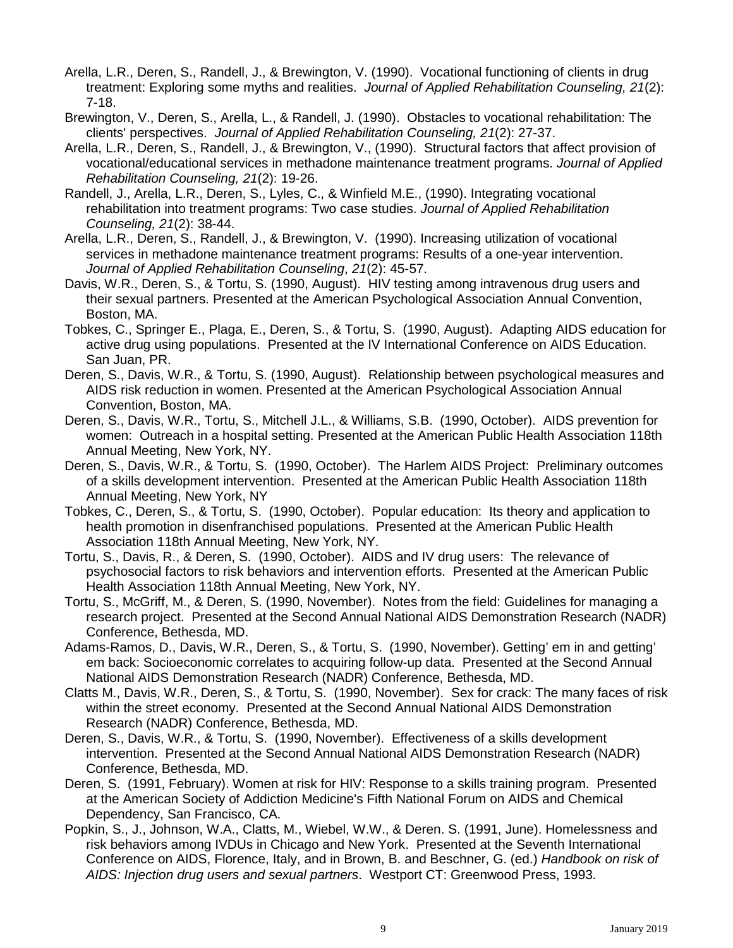- Arella, L.R., Deren, S., Randell, J., & Brewington, V. (1990). Vocational functioning of clients in drug treatment: Exploring some myths and realities. *Journal of Applied Rehabilitation Counseling, 21*(2): 7-18.
- Brewington, V., Deren, S., Arella, L., & Randell, J. (1990). Obstacles to vocational rehabilitation: The clients' perspectives. *Journal of Applied Rehabilitation Counseling, 21*(2): 27-37.
- Arella, L.R., Deren, S., Randell, J., & Brewington, V., (1990). Structural factors that affect provision of vocational/educational services in methadone maintenance treatment programs. *Journal of Applied Rehabilitation Counseling, 21*(2): 19-26.
- Randell, J., Arella, L.R., Deren, S., Lyles, C., & Winfield M.E., (1990). Integrating vocational rehabilitation into treatment programs: Two case studies. *Journal of Applied Rehabilitation Counseling, 21*(2): 38-44.
- Arella, L.R., Deren, S., Randell, J., & Brewington, V. (1990). Increasing utilization of vocational services in methadone maintenance treatment programs: Results of a one-year intervention. *Journal of Applied Rehabilitation Counseling*, *21*(2): 45-57.
- Davis, W.R., Deren, S., & Tortu, S. (1990, August). HIV testing among intravenous drug users and their sexual partners. Presented at the American Psychological Association Annual Convention, Boston, MA.
- Tobkes, C., Springer E., Plaga, E., Deren, S., & Tortu, S. (1990, August). Adapting AIDS education for active drug using populations. Presented at the IV International Conference on AIDS Education. San Juan, PR.
- Deren, S., Davis, W.R., & Tortu, S. (1990, August). Relationship between psychological measures and AIDS risk reduction in women. Presented at the American Psychological Association Annual Convention, Boston, MA.
- Deren, S., Davis, W.R., Tortu, S., Mitchell J.L., & Williams, S.B. (1990, October). AIDS prevention for women: Outreach in a hospital setting. Presented at the American Public Health Association 118th Annual Meeting, New York, NY.
- Deren, S., Davis, W.R., & Tortu, S. (1990, October). The Harlem AIDS Project: Preliminary outcomes of a skills development intervention. Presented at the American Public Health Association 118th Annual Meeting, New York, NY
- Tobkes, C., Deren, S., & Tortu, S. (1990, October). Popular education: Its theory and application to health promotion in disenfranchised populations. Presented at the American Public Health Association 118th Annual Meeting, New York, NY.
- Tortu, S., Davis, R., & Deren, S. (1990, October). AIDS and IV drug users: The relevance of psychosocial factors to risk behaviors and intervention efforts. Presented at the American Public Health Association 118th Annual Meeting, New York, NY.
- Tortu, S., McGriff, M., & Deren, S. (1990, November). Notes from the field: Guidelines for managing a research project. Presented at the Second Annual National AIDS Demonstration Research (NADR) Conference, Bethesda, MD.
- Adams-Ramos, D., Davis, W.R., Deren, S., & Tortu, S. (1990, November). Getting' em in and getting' em back: Socioeconomic correlates to acquiring follow-up data. Presented at the Second Annual National AIDS Demonstration Research (NADR) Conference, Bethesda, MD.
- Clatts M., Davis, W.R., Deren, S., & Tortu, S. (1990, November). Sex for crack: The many faces of risk within the street economy. Presented at the Second Annual National AIDS Demonstration Research (NADR) Conference, Bethesda, MD.
- Deren, S., Davis, W.R., & Tortu, S. (1990, November). Effectiveness of a skills development intervention. Presented at the Second Annual National AIDS Demonstration Research (NADR) Conference, Bethesda, MD.
- Deren, S. (1991, February). Women at risk for HIV: Response to a skills training program. Presented at the American Society of Addiction Medicine's Fifth National Forum on AIDS and Chemical Dependency, San Francisco, CA.
- Popkin, S., J., Johnson, W.A., Clatts, M., Wiebel, W.W., & Deren. S. (1991, June). Homelessness and risk behaviors among IVDUs in Chicago and New York. Presented at the Seventh International Conference on AIDS, Florence, Italy, and in Brown, B. and Beschner, G. (ed.) *Handbook on risk of AIDS: Injection drug users and sexual partners*. Westport CT: Greenwood Press, 1993.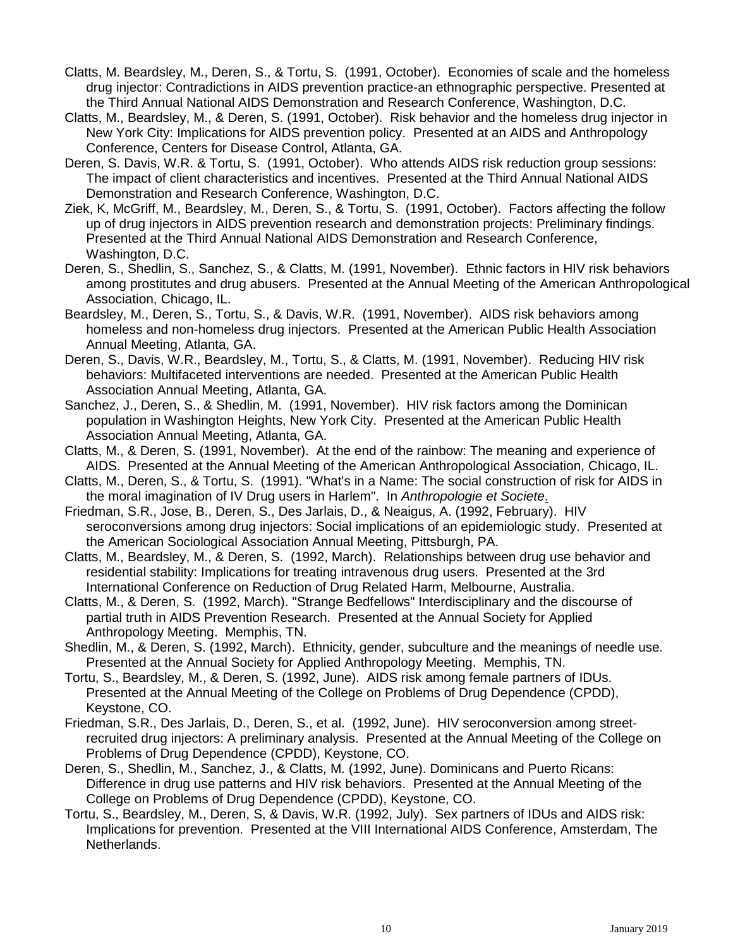- Clatts, M. Beardsley, M., Deren, S., & Tortu, S. (1991, October). Economies of scale and the homeless drug injector: Contradictions in AIDS prevention practice-an ethnographic perspective. Presented at the Third Annual National AIDS Demonstration and Research Conference, Washington, D.C.
- Clatts, M., Beardsley, M., & Deren, S. (1991, October). Risk behavior and the homeless drug injector in New York City: Implications for AIDS prevention policy. Presented at an AIDS and Anthropology Conference, Centers for Disease Control, Atlanta, GA.
- Deren, S. Davis, W.R. & Tortu, S. (1991, October). Who attends AIDS risk reduction group sessions: The impact of client characteristics and incentives. Presented at the Third Annual National AIDS Demonstration and Research Conference, Washington, D.C.
- Ziek, K, McGriff, M., Beardsley, M., Deren, S., & Tortu, S. (1991, October). Factors affecting the follow up of drug injectors in AIDS prevention research and demonstration projects: Preliminary findings. Presented at the Third Annual National AIDS Demonstration and Research Conference, Washington, D.C.
- Deren, S., Shedlin, S., Sanchez, S., & Clatts, M. (1991, November). Ethnic factors in HIV risk behaviors among prostitutes and drug abusers. Presented at the Annual Meeting of the American Anthropological Association, Chicago, IL.
- Beardsley, M., Deren, S., Tortu, S., & Davis, W.R. (1991, November). AIDS risk behaviors among homeless and non-homeless drug injectors. Presented at the American Public Health Association Annual Meeting, Atlanta, GA.
- Deren, S., Davis, W.R., Beardsley, M., Tortu, S., & Clatts, M. (1991, November). Reducing HIV risk behaviors: Multifaceted interventions are needed. Presented at the American Public Health Association Annual Meeting, Atlanta, GA.
- Sanchez, J., Deren, S., & Shedlin, M. (1991, November). HIV risk factors among the Dominican population in Washington Heights, New York City. Presented at the American Public Health Association Annual Meeting, Atlanta, GA.
- Clatts, M., & Deren, S. (1991, November). At the end of the rainbow: The meaning and experience of AIDS. Presented at the Annual Meeting of the American Anthropological Association, Chicago, IL.
- Clatts, M., Deren, S., & Tortu, S. (1991). "What's in a Name: The social construction of risk for AIDS in the moral imagination of IV Drug users in Harlem". In *Anthropologie et Societe*.
- Friedman, S.R., Jose, B., Deren, S., Des Jarlais, D., & Neaigus, A. (1992, February). HIV seroconversions among drug injectors: Social implications of an epidemiologic study. Presented at the American Sociological Association Annual Meeting, Pittsburgh, PA.
- Clatts, M., Beardsley, M., & Deren, S. (1992, March). Relationships between drug use behavior and residential stability: Implications for treating intravenous drug users. Presented at the 3rd International Conference on Reduction of Drug Related Harm, Melbourne, Australia.
- Clatts, M., & Deren, S. (1992, March). "Strange Bedfellows" Interdisciplinary and the discourse of partial truth in AIDS Prevention Research. Presented at the Annual Society for Applied Anthropology Meeting. Memphis, TN.
- Shedlin, M., & Deren, S. (1992, March). Ethnicity, gender, subculture and the meanings of needle use. Presented at the Annual Society for Applied Anthropology Meeting. Memphis, TN.
- Tortu, S., Beardsley, M., & Deren, S. (1992, June). AIDS risk among female partners of IDUs. Presented at the Annual Meeting of the College on Problems of Drug Dependence (CPDD), Keystone, CO.
- Friedman, S.R., Des Jarlais, D., Deren, S., et al. (1992, June). HIV seroconversion among streetrecruited drug injectors: A preliminary analysis. Presented at the Annual Meeting of the College on Problems of Drug Dependence (CPDD), Keystone, CO.
- Deren, S., Shedlin, M., Sanchez, J., & Clatts, M. (1992, June). Dominicans and Puerto Ricans: Difference in drug use patterns and HIV risk behaviors. Presented at the Annual Meeting of the College on Problems of Drug Dependence (CPDD), Keystone, CO.
- Tortu, S., Beardsley, M., Deren, S, & Davis, W.R. (1992, July). Sex partners of IDUs and AIDS risk: Implications for prevention. Presented at the VIII International AIDS Conference, Amsterdam, The Netherlands.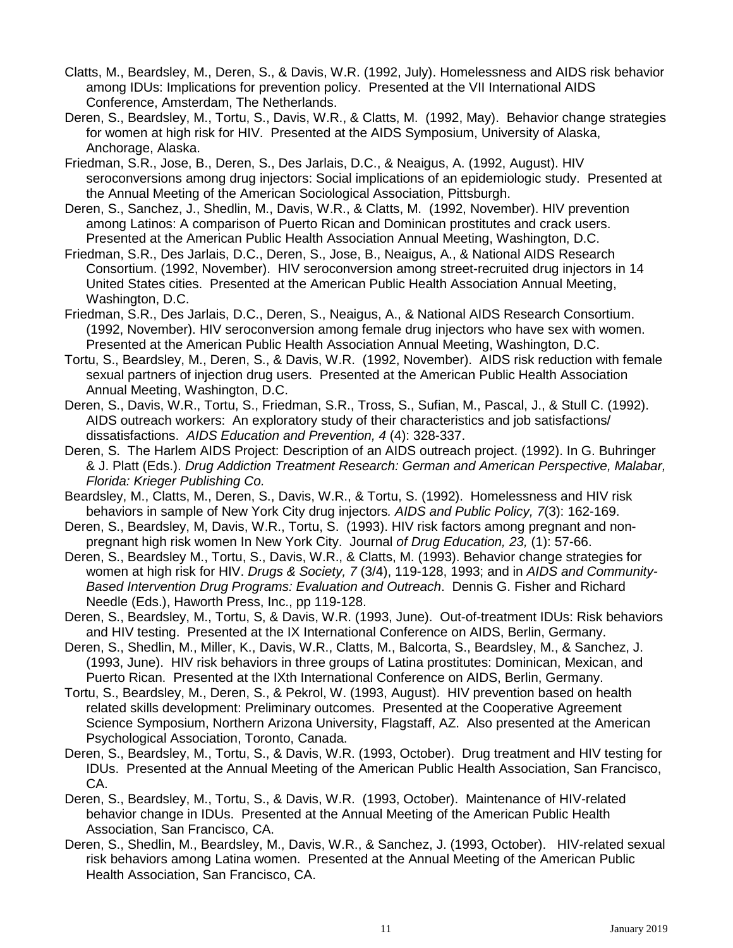- Clatts, M., Beardsley, M., Deren, S., & Davis, W.R. (1992, July). Homelessness and AIDS risk behavior among IDUs: Implications for prevention policy. Presented at the VII International AIDS Conference, Amsterdam, The Netherlands.
- Deren, S., Beardsley, M., Tortu, S., Davis, W.R., & Clatts, M. (1992, May). Behavior change strategies for women at high risk for HIV. Presented at the AIDS Symposium, University of Alaska, Anchorage, Alaska.
- Friedman, S.R., Jose, B., Deren, S., Des Jarlais, D.C., & Neaigus, A. (1992, August). HIV seroconversions among drug injectors: Social implications of an epidemiologic study. Presented at the Annual Meeting of the American Sociological Association, Pittsburgh.
- Deren, S., Sanchez, J., Shedlin, M., Davis, W.R., & Clatts, M. (1992, November). HIV prevention among Latinos: A comparison of Puerto Rican and Dominican prostitutes and crack users. Presented at the American Public Health Association Annual Meeting, Washington, D.C.
- Friedman, S.R., Des Jarlais, D.C., Deren, S., Jose, B., Neaigus, A., & National AIDS Research Consortium. (1992, November). HIV seroconversion among street-recruited drug injectors in 14 United States cities. Presented at the American Public Health Association Annual Meeting, Washington, D.C.
- Friedman, S.R., Des Jarlais, D.C., Deren, S., Neaigus, A., & National AIDS Research Consortium. (1992, November). HIV seroconversion among female drug injectors who have sex with women. Presented at the American Public Health Association Annual Meeting, Washington, D.C.
- Tortu, S., Beardsley, M., Deren, S., & Davis, W.R. (1992, November). AIDS risk reduction with female sexual partners of injection drug users. Presented at the American Public Health Association Annual Meeting, Washington, D.C.
- Deren, S., Davis, W.R., Tortu, S., Friedman, S.R., Tross, S., Sufian, M., Pascal, J., & Stull C. (1992). AIDS outreach workers: An exploratory study of their characteristics and job satisfactions/ dissatisfactions. *AIDS Education and Prevention, 4* (4): 328-337.
- Deren, S. The Harlem AIDS Project: Description of an AIDS outreach project. (1992). In G. Buhringer & J. Platt (Eds.). *Drug Addiction Treatment Research: German and American Perspective, Malabar, Florida: Krieger Publishing Co.*
- Beardsley, M., Clatts, M., Deren, S., Davis, W.R., & Tortu, S. (1992). Homelessness and HIV risk behaviors in sample of New York City drug injectors*. AIDS and Public Policy, 7*(3): 162-169.
- Deren, S., Beardsley, M, Davis, W.R., Tortu, S. (1993). HIV risk factors among pregnant and nonpregnant high risk women In New York City. Journal *of Drug Education, 23,* (1): 57-66.
- Deren, S., Beardsley M., Tortu, S., Davis, W.R., & Clatts, M. (1993). Behavior change strategies for women at high risk for HIV. *Drugs & Society, 7* (3/4), 119-128, 1993; and in *AIDS and Community-Based Intervention Drug Programs: Evaluation and Outreach*. Dennis G. Fisher and Richard Needle (Eds.), Haworth Press, Inc., pp 119-128.
- Deren, S., Beardsley, M., Tortu, S, & Davis, W.R. (1993, June). Out-of-treatment IDUs: Risk behaviors and HIV testing. Presented at the IX International Conference on AIDS, Berlin, Germany.
- Deren, S., Shedlin, M., Miller, K., Davis, W.R., Clatts, M., Balcorta, S., Beardsley, M., & Sanchez, J. (1993, June). HIV risk behaviors in three groups of Latina prostitutes: Dominican, Mexican, and Puerto Rican. Presented at the IXth International Conference on AIDS, Berlin, Germany.
- Tortu, S., Beardsley, M., Deren, S., & Pekrol, W. (1993, August). HIV prevention based on health related skills development: Preliminary outcomes. Presented at the Cooperative Agreement Science Symposium, Northern Arizona University, Flagstaff, AZ. Also presented at the American Psychological Association, Toronto, Canada.
- Deren, S., Beardsley, M., Tortu, S., & Davis, W.R. (1993, October). Drug treatment and HIV testing for IDUs. Presented at the Annual Meeting of the American Public Health Association, San Francisco, CA.
- Deren, S., Beardsley, M., Tortu, S., & Davis, W.R. (1993, October). Maintenance of HIV-related behavior change in IDUs. Presented at the Annual Meeting of the American Public Health Association, San Francisco, CA.
- Deren, S., Shedlin, M., Beardsley, M., Davis, W.R., & Sanchez, J. (1993, October). HIV-related sexual risk behaviors among Latina women. Presented at the Annual Meeting of the American Public Health Association, San Francisco, CA.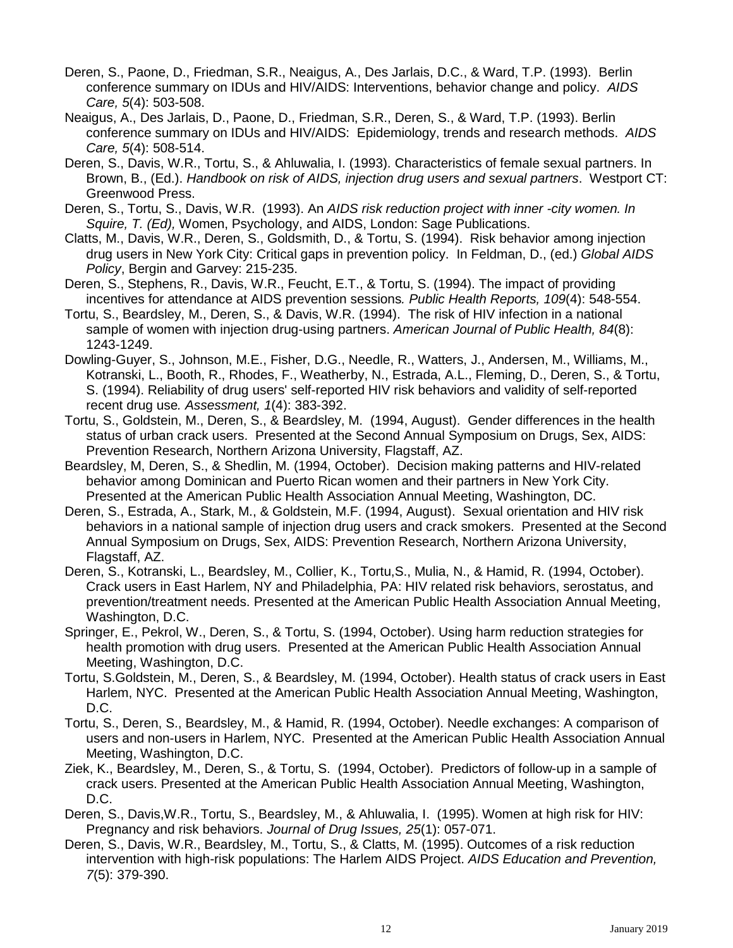- Deren, S., Paone, D., Friedman, S.R., Neaigus, A., Des Jarlais, D.C., & Ward, T.P. (1993). Berlin conference summary on IDUs and HIV/AIDS: Interventions, behavior change and policy. *AIDS Care, 5*(4): 503-508.
- Neaigus, A., Des Jarlais, D., Paone, D., Friedman, S.R., Deren, S., & Ward, T.P. (1993). Berlin conference summary on IDUs and HIV/AIDS: Epidemiology, trends and research methods. *AIDS Care, 5*(4): 508-514.
- Deren, S., Davis, W.R., Tortu, S., & Ahluwalia, I. (1993). Characteristics of female sexual partners. In Brown, B., (Ed.). *Handbook on risk of AIDS, injection drug users and sexual partners*. Westport CT: Greenwood Press.
- Deren, S., Tortu, S., Davis, W.R. (1993). An *AIDS risk reduction project with inner -city women. In Squire, T. (Ed),* Women, Psychology, and AIDS, London: Sage Publications.
- Clatts, M., Davis, W.R., Deren, S., Goldsmith, D., & Tortu, S. (1994). Risk behavior among injection drug users in New York City: Critical gaps in prevention policy. In Feldman, D., (ed.) *Global AIDS Policy*, Bergin and Garvey: 215-235.
- Deren, S., Stephens, R., Davis, W.R., Feucht, E.T., & Tortu, S. (1994). The impact of providing incentives for attendance at AIDS prevention sessions*. Public Health Reports, 109*(4): 548-554.
- Tortu, S., Beardsley, M., Deren, S., & Davis, W.R. (1994). The risk of HIV infection in a national sample of women with injection drug-using partners. *American Journal of Public Health, 84*(8): 1243-1249.
- Dowling-Guyer, S., Johnson, M.E., Fisher, D.G., Needle, R., Watters, J., Andersen, M., Williams, M., Kotranski, L., Booth, R., Rhodes, F., Weatherby, N., Estrada, A.L., Fleming, D., Deren, S., & Tortu, S. (1994). Reliability of drug users' self-reported HIV risk behaviors and validity of self-reported recent drug use*. Assessment, 1*(4): 383-392.
- Tortu, S., Goldstein, M., Deren, S., & Beardsley, M. (1994, August). Gender differences in the health status of urban crack users. Presented at the Second Annual Symposium on Drugs, Sex, AIDS: Prevention Research, Northern Arizona University, Flagstaff, AZ.
- Beardsley, M, Deren, S., & Shedlin, M. (1994, October). Decision making patterns and HIV-related behavior among Dominican and Puerto Rican women and their partners in New York City. Presented at the American Public Health Association Annual Meeting, Washington, DC.
- Deren, S., Estrada, A., Stark, M., & Goldstein, M.F. (1994, August). Sexual orientation and HIV risk behaviors in a national sample of injection drug users and crack smokers. Presented at the Second Annual Symposium on Drugs, Sex, AIDS: Prevention Research, Northern Arizona University, Flagstaff, AZ.
- Deren, S., Kotranski, L., Beardsley, M., Collier, K., Tortu,S., Mulia, N., & Hamid, R. (1994, October). Crack users in East Harlem, NY and Philadelphia, PA: HIV related risk behaviors, serostatus, and prevention/treatment needs. Presented at the American Public Health Association Annual Meeting, Washington, D.C.
- Springer, E., Pekrol, W., Deren, S., & Tortu, S. (1994, October). Using harm reduction strategies for health promotion with drug users. Presented at the American Public Health Association Annual Meeting, Washington, D.C.
- Tortu, S.Goldstein, M., Deren, S., & Beardsley, M. (1994, October). Health status of crack users in East Harlem, NYC. Presented at the American Public Health Association Annual Meeting, Washington, D.C.
- Tortu, S., Deren, S., Beardsley, M., & Hamid, R. (1994, October). Needle exchanges: A comparison of users and non-users in Harlem, NYC. Presented at the American Public Health Association Annual Meeting, Washington, D.C.
- Ziek, K., Beardsley, M., Deren, S., & Tortu, S. (1994, October). Predictors of follow-up in a sample of crack users. Presented at the American Public Health Association Annual Meeting, Washington, D.C.
- Deren, S., Davis,W.R., Tortu, S., Beardsley, M., & Ahluwalia, I. (1995). Women at high risk for HIV: Pregnancy and risk behaviors. *Journal of Drug Issues, 25*(1): 057-071.
- Deren, S., Davis, W.R., Beardsley, M., Tortu, S., & Clatts, M. (1995). Outcomes of a risk reduction intervention with high-risk populations: The Harlem AIDS Project. *AIDS Education and Prevention, 7*(5): 379-390.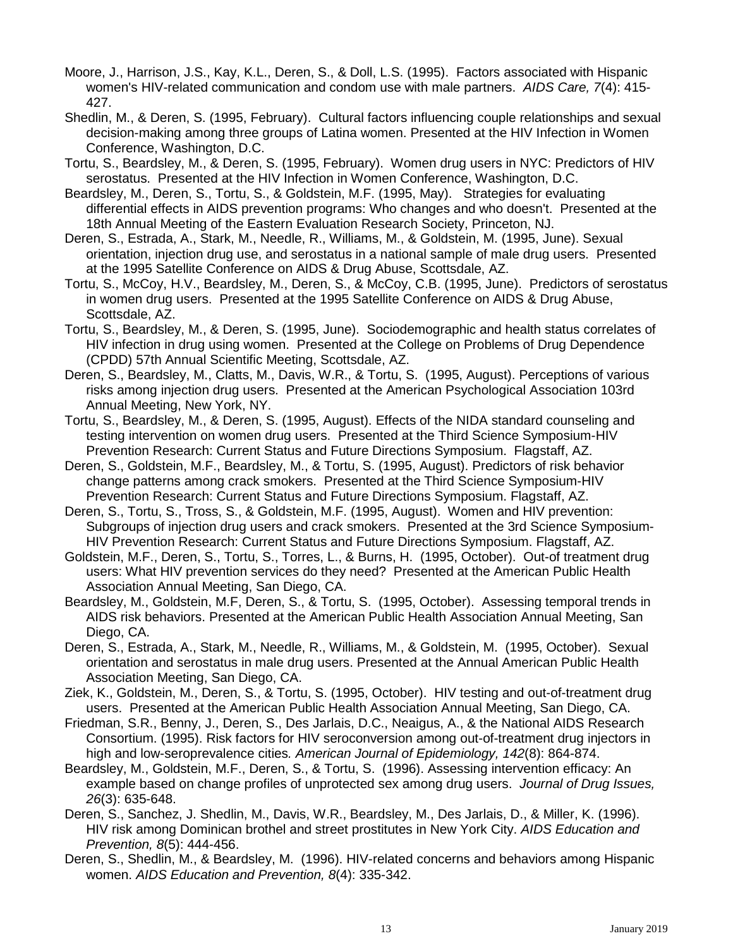- Moore, J., Harrison, J.S., Kay, K.L., Deren, S., & Doll, L.S. (1995). Factors associated with Hispanic women's HIV-related communication and condom use with male partners. *AIDS Care, 7*(4): 415- 427.
- Shedlin, M., & Deren, S. (1995, February). Cultural factors influencing couple relationships and sexual decision-making among three groups of Latina women. Presented at the HIV Infection in Women Conference, Washington, D.C.
- Tortu, S., Beardsley, M., & Deren, S. (1995, February). Women drug users in NYC: Predictors of HIV serostatus. Presented at the HIV Infection in Women Conference, Washington, D.C.
- Beardsley, M., Deren, S., Tortu, S., & Goldstein, M.F. (1995, May). Strategies for evaluating differential effects in AIDS prevention programs: Who changes and who doesn't. Presented at the 18th Annual Meeting of the Eastern Evaluation Research Society, Princeton, NJ.
- Deren, S., Estrada, A., Stark, M., Needle, R., Williams, M., & Goldstein, M. (1995, June). Sexual orientation, injection drug use, and serostatus in a national sample of male drug users. Presented at the 1995 Satellite Conference on AIDS & Drug Abuse, Scottsdale, AZ.
- Tortu, S., McCoy, H.V., Beardsley, M., Deren, S., & McCoy, C.B. (1995, June). Predictors of serostatus in women drug users. Presented at the 1995 Satellite Conference on AIDS & Drug Abuse, Scottsdale, AZ.
- Tortu, S., Beardsley, M., & Deren, S. (1995, June). Sociodemographic and health status correlates of HIV infection in drug using women. Presented at the College on Problems of Drug Dependence (CPDD) 57th Annual Scientific Meeting, Scottsdale, AZ.
- Deren, S., Beardsley, M., Clatts, M., Davis, W.R., & Tortu, S. (1995, August). Perceptions of various risks among injection drug users. Presented at the American Psychological Association 103rd Annual Meeting, New York, NY.
- Tortu, S., Beardsley, M., & Deren, S. (1995, August). Effects of the NIDA standard counseling and testing intervention on women drug users. Presented at the Third Science Symposium-HIV Prevention Research: Current Status and Future Directions Symposium. Flagstaff, AZ.
- Deren, S., Goldstein, M.F., Beardsley, M., & Tortu, S. (1995, August). Predictors of risk behavior change patterns among crack smokers. Presented at the Third Science Symposium-HIV Prevention Research: Current Status and Future Directions Symposium. Flagstaff, AZ.
- Deren, S., Tortu, S., Tross, S., & Goldstein, M.F. (1995, August). Women and HIV prevention: Subgroups of injection drug users and crack smokers. Presented at the 3rd Science Symposium-HIV Prevention Research: Current Status and Future Directions Symposium. Flagstaff, AZ.
- Goldstein, M.F., Deren, S., Tortu, S., Torres, L., & Burns, H. (1995, October). Out-of treatment drug users: What HIV prevention services do they need? Presented at the American Public Health Association Annual Meeting, San Diego, CA.
- Beardsley, M., Goldstein, M.F, Deren, S., & Tortu, S. (1995, October). Assessing temporal trends in AIDS risk behaviors. Presented at the American Public Health Association Annual Meeting, San Diego, CA.
- Deren, S., Estrada, A., Stark, M., Needle, R., Williams, M., & Goldstein, M. (1995, October). Sexual orientation and serostatus in male drug users. Presented at the Annual American Public Health Association Meeting, San Diego, CA.
- Ziek, K., Goldstein, M., Deren, S., & Tortu, S. (1995, October). HIV testing and out-of-treatment drug users. Presented at the American Public Health Association Annual Meeting, San Diego, CA.
- Friedman, S.R., Benny, J., Deren, S., Des Jarlais, D.C., Neaigus, A., & the National AIDS Research Consortium. (1995). Risk factors for HIV seroconversion among out-of-treatment drug injectors in high and low-seroprevalence cities*. American Journal of Epidemiology, 142*(8): 864-874.
- Beardsley, M., Goldstein, M.F., Deren, S., & Tortu, S. (1996). Assessing intervention efficacy: An example based on change profiles of unprotected sex among drug users. *Journal of Drug Issues, 26*(3): 635-648.
- Deren, S., Sanchez, J. Shedlin, M., Davis, W.R., Beardsley, M., Des Jarlais, D., & Miller, K. (1996). HIV risk among Dominican brothel and street prostitutes in New York City. *AIDS Education and Prevention, 8*(5): 444-456.
- Deren, S., Shedlin, M., & Beardsley, M. (1996). HIV-related concerns and behaviors among Hispanic women. *AIDS Education and Prevention, 8*(4): 335-342.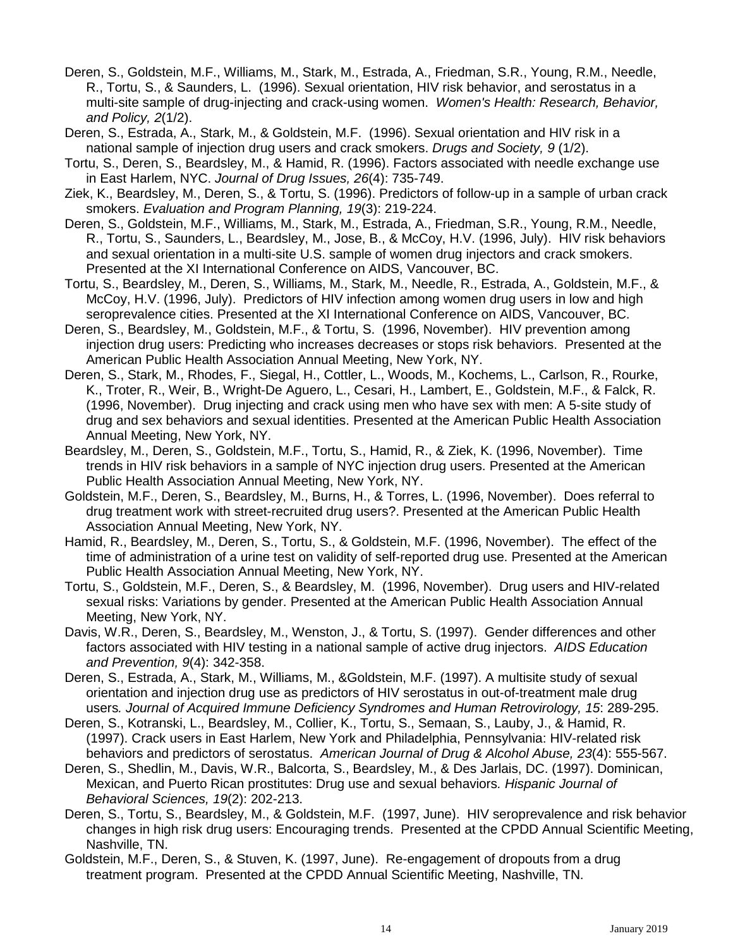- Deren, S., Goldstein, M.F., Williams, M., Stark, M., Estrada, A., Friedman, S.R., Young, R.M., Needle, R., Tortu, S., & Saunders, L. (1996). Sexual orientation, HIV risk behavior, and serostatus in a multi-site sample of drug-injecting and crack-using women. *Women's Health: Research, Behavior, and Policy, 2*(1/2).
- Deren, S., Estrada, A., Stark, M., & Goldstein, M.F. (1996). Sexual orientation and HIV risk in a national sample of injection drug users and crack smokers. *Drugs and Society, 9* (1/2).
- Tortu, S., Deren, S., Beardsley, M., & Hamid, R. (1996). Factors associated with needle exchange use in East Harlem, NYC. *Journal of Drug Issues, 26*(4): 735-749.
- Ziek, K., Beardsley, M., Deren, S., & Tortu, S. (1996). Predictors of follow-up in a sample of urban crack smokers. *Evaluation and Program Planning, 19*(3): 219-224.
- Deren, S., Goldstein, M.F., Williams, M., Stark, M., Estrada, A., Friedman, S.R., Young, R.M., Needle, R., Tortu, S., Saunders, L., Beardsley, M., Jose, B., & McCoy, H.V. (1996, July). HIV risk behaviors and sexual orientation in a multi-site U.S. sample of women drug injectors and crack smokers. Presented at the XI International Conference on AIDS, Vancouver, BC.
- Tortu, S., Beardsley, M., Deren, S., Williams, M., Stark, M., Needle, R., Estrada, A., Goldstein, M.F., & McCoy, H.V. (1996, July). Predictors of HIV infection among women drug users in low and high seroprevalence cities. Presented at the XI International Conference on AIDS, Vancouver, BC.
- Deren, S., Beardsley, M., Goldstein, M.F., & Tortu, S. (1996, November). HIV prevention among injection drug users: Predicting who increases decreases or stops risk behaviors. Presented at the American Public Health Association Annual Meeting, New York, NY.
- Deren, S., Stark, M., Rhodes, F., Siegal, H., Cottler, L., Woods, M., Kochems, L., Carlson, R., Rourke, K., Troter, R., Weir, B., Wright-De Aguero, L., Cesari, H., Lambert, E., Goldstein, M.F., & Falck, R. (1996, November). Drug injecting and crack using men who have sex with men: A 5-site study of drug and sex behaviors and sexual identities. Presented at the American Public Health Association Annual Meeting, New York, NY.
- Beardsley, M., Deren, S., Goldstein, M.F., Tortu, S., Hamid, R., & Ziek, K. (1996, November). Time trends in HIV risk behaviors in a sample of NYC injection drug users. Presented at the American Public Health Association Annual Meeting, New York, NY.
- Goldstein, M.F., Deren, S., Beardsley, M., Burns, H., & Torres, L. (1996, November). Does referral to drug treatment work with street-recruited drug users?. Presented at the American Public Health Association Annual Meeting, New York, NY.
- Hamid, R., Beardsley, M., Deren, S., Tortu, S., & Goldstein, M.F. (1996, November). The effect of the time of administration of a urine test on validity of self-reported drug use. Presented at the American Public Health Association Annual Meeting, New York, NY.
- Tortu, S., Goldstein, M.F., Deren, S., & Beardsley, M. (1996, November). Drug users and HIV-related sexual risks: Variations by gender. Presented at the American Public Health Association Annual Meeting, New York, NY.
- Davis, W.R., Deren, S., Beardsley, M., Wenston, J., & Tortu, S. (1997). Gender differences and other factors associated with HIV testing in a national sample of active drug injectors. *AIDS Education and Prevention, 9*(4): 342-358.
- Deren, S., Estrada, A., Stark, M., Williams, M., &Goldstein, M.F. (1997). A multisite study of sexual orientation and injection drug use as predictors of HIV serostatus in out-of-treatment male drug users*. Journal of Acquired Immune Deficiency Syndromes and Human Retrovirology, 15*: 289-295.
- Deren, S., Kotranski, L., Beardsley, M., Collier, K., Tortu, S., Semaan, S., Lauby, J., & Hamid, R. (1997). Crack users in East Harlem, New York and Philadelphia, Pennsylvania: HIV-related risk behaviors and predictors of serostatus. *American Journal of Drug & Alcohol Abuse, 23*(4): 555-567.
- Deren, S., Shedlin, M., Davis, W.R., Balcorta, S., Beardsley, M., & Des Jarlais, DC. (1997). Dominican, Mexican, and Puerto Rican prostitutes: Drug use and sexual behaviors*. Hispanic Journal of Behavioral Sciences, 19*(2): 202-213.
- Deren, S., Tortu, S., Beardsley, M., & Goldstein, M.F. (1997, June). HIV seroprevalence and risk behavior changes in high risk drug users: Encouraging trends. Presented at the CPDD Annual Scientific Meeting, Nashville, TN.
- Goldstein, M.F., Deren, S., & Stuven, K. (1997, June). Re-engagement of dropouts from a drug treatment program. Presented at the CPDD Annual Scientific Meeting, Nashville, TN.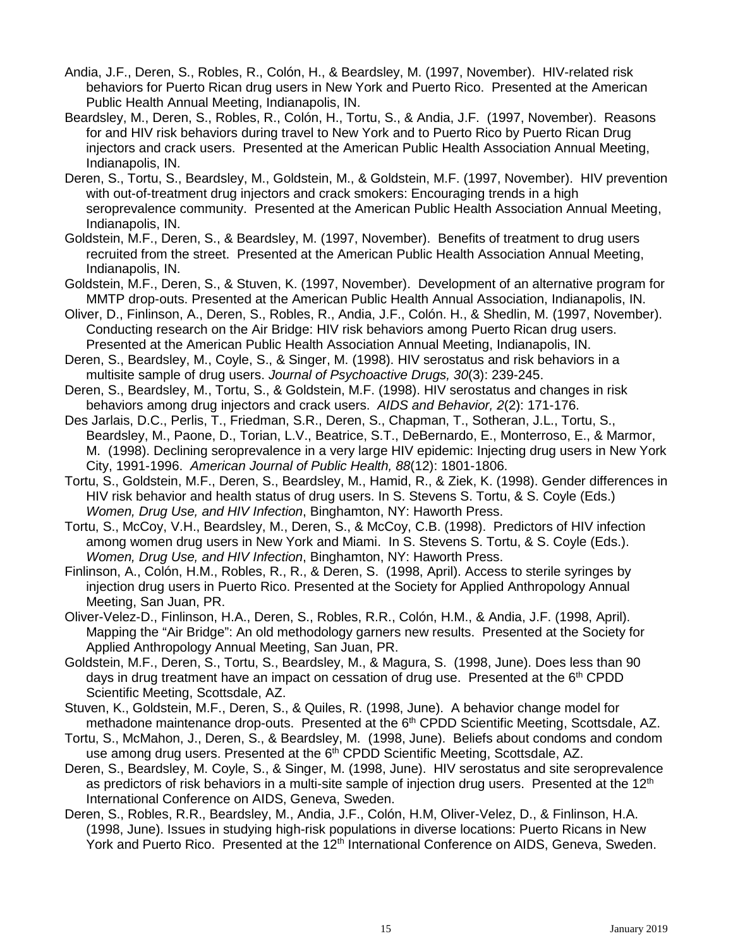- Andia, J.F., Deren, S., Robles, R., Colón, H., & Beardsley, M. (1997, November). HIV-related risk behaviors for Puerto Rican drug users in New York and Puerto Rico. Presented at the American Public Health Annual Meeting, Indianapolis, IN.
- Beardsley, M., Deren, S., Robles, R., Colón, H., Tortu, S., & Andia, J.F. (1997, November). Reasons for and HIV risk behaviors during travel to New York and to Puerto Rico by Puerto Rican Drug injectors and crack users. Presented at the American Public Health Association Annual Meeting, Indianapolis, IN.
- Deren, S., Tortu, S., Beardsley, M., Goldstein, M., & Goldstein, M.F. (1997, November). HIV prevention with out-of-treatment drug injectors and crack smokers: Encouraging trends in a high seroprevalence community. Presented at the American Public Health Association Annual Meeting, Indianapolis, IN.
- Goldstein, M.F., Deren, S., & Beardsley, M. (1997, November). Benefits of treatment to drug users recruited from the street. Presented at the American Public Health Association Annual Meeting, Indianapolis, IN.
- Goldstein, M.F., Deren, S., & Stuven, K. (1997, November). Development of an alternative program for MMTP drop-outs. Presented at the American Public Health Annual Association, Indianapolis, IN.
- Oliver, D., Finlinson, A., Deren, S., Robles, R., Andia, J.F., Colón. H., & Shedlin, M. (1997, November). Conducting research on the Air Bridge: HIV risk behaviors among Puerto Rican drug users. Presented at the American Public Health Association Annual Meeting, Indianapolis, IN.
- Deren, S., Beardsley, M., Coyle, S., & Singer, M. (1998). HIV serostatus and risk behaviors in a multisite sample of drug users. *Journal of Psychoactive Drugs, 30*(3): 239-245.
- Deren, S., Beardsley, M., Tortu, S., & Goldstein, M.F. (1998). HIV serostatus and changes in risk behaviors among drug injectors and crack users. *AIDS and Behavior, 2*(2): 171-176.
- Des Jarlais, D.C., Perlis, T., Friedman, S.R., Deren, S., Chapman, T., Sotheran, J.L., Tortu, S., Beardsley, M., Paone, D., Torian, L.V., Beatrice, S.T., DeBernardo, E., Monterroso, E., & Marmor, M. (1998). Declining seroprevalence in a very large HIV epidemic: Injecting drug users in New York City, 1991-1996. *American Journal of Public Health, 88*(12): 1801-1806.
- Tortu, S., Goldstein, M.F., Deren, S., Beardsley, M., Hamid, R., & Ziek, K. (1998). Gender differences in HIV risk behavior and health status of drug users. In S. Stevens S. Tortu, & S. Coyle (Eds.) *Women, Drug Use, and HIV Infection*, Binghamton, NY: Haworth Press.
- Tortu, S., McCoy, V.H., Beardsley, M., Deren, S., & McCoy, C.B. (1998). Predictors of HIV infection among women drug users in New York and Miami. In S. Stevens S. Tortu, & S. Coyle (Eds.). *Women, Drug Use, and HIV Infection*, Binghamton, NY: Haworth Press.
- Finlinson, A., Colón, H.M., Robles, R., R., & Deren, S. (1998, April). Access to sterile syringes by injection drug users in Puerto Rico. Presented at the Society for Applied Anthropology Annual Meeting, San Juan, PR.
- Oliver-Velez-D., Finlinson, H.A., Deren, S., Robles, R.R., Colón, H.M., & Andia, J.F. (1998, April). Mapping the "Air Bridge": An old methodology garners new results. Presented at the Society for Applied Anthropology Annual Meeting, San Juan, PR.
- Goldstein, M.F., Deren, S., Tortu, S., Beardsley, M., & Magura, S. (1998, June). Does less than 90 days in drug treatment have an impact on cessation of drug use. Presented at the  $6<sup>th</sup>$  CPDD Scientific Meeting, Scottsdale, AZ.
- Stuven, K., Goldstein, M.F., Deren, S., & Quiles, R. (1998, June). A behavior change model for methadone maintenance drop-outs. Presented at the 6<sup>th</sup> CPDD Scientific Meeting, Scottsdale, AZ.
- Tortu, S., McMahon, J., Deren, S., & Beardsley, M. (1998, June). Beliefs about condoms and condom use among drug users. Presented at the  $6<sup>th</sup>$  CPDD Scientific Meeting, Scottsdale, AZ.
- Deren, S., Beardsley, M. Coyle, S., & Singer, M. (1998, June). HIV serostatus and site seroprevalence as predictors of risk behaviors in a multi-site sample of injection drug users. Presented at the 12<sup>th</sup> International Conference on AIDS, Geneva, Sweden.
- Deren, S., Robles, R.R., Beardsley, M., Andia, J.F., Colón, H.M, Oliver-Velez, D., & Finlinson, H.A. (1998, June). Issues in studying high-risk populations in diverse locations: Puerto Ricans in New York and Puerto Rico. Presented at the 12<sup>th</sup> International Conference on AIDS, Geneva, Sweden.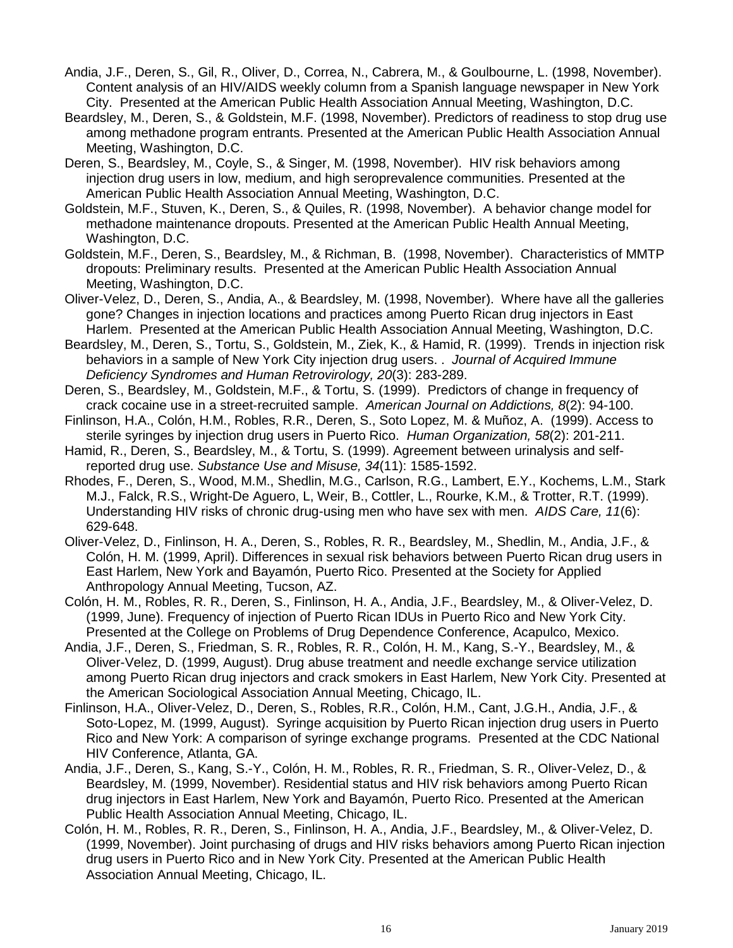- Andia, J.F., Deren, S., Gil, R., Oliver, D., Correa, N., Cabrera, M., & Goulbourne, L. (1998, November). Content analysis of an HIV/AIDS weekly column from a Spanish language newspaper in New York City. Presented at the American Public Health Association Annual Meeting, Washington, D.C.
- Beardsley, M., Deren, S., & Goldstein, M.F. (1998, November). Predictors of readiness to stop drug use among methadone program entrants. Presented at the American Public Health Association Annual Meeting, Washington, D.C.
- Deren, S., Beardsley, M., Coyle, S., & Singer, M. (1998, November). HIV risk behaviors among injection drug users in low, medium, and high seroprevalence communities. Presented at the American Public Health Association Annual Meeting, Washington, D.C.
- Goldstein, M.F., Stuven, K., Deren, S., & Quiles, R. (1998, November). A behavior change model for methadone maintenance dropouts. Presented at the American Public Health Annual Meeting, Washington, D.C.
- Goldstein, M.F., Deren, S., Beardsley, M., & Richman, B. (1998, November). Characteristics of MMTP dropouts: Preliminary results. Presented at the American Public Health Association Annual Meeting, Washington, D.C.
- Oliver-Velez, D., Deren, S., Andia, A., & Beardsley, M. (1998, November). Where have all the galleries gone? Changes in injection locations and practices among Puerto Rican drug injectors in East Harlem. Presented at the American Public Health Association Annual Meeting, Washington, D.C.
- Beardsley, M., Deren, S., Tortu, S., Goldstein, M., Ziek, K., & Hamid, R. (1999). Trends in injection risk behaviors in a sample of New York City injection drug users. . *Journal of Acquired Immune Deficiency Syndromes and Human Retrovirology, 20*(3): 283-289.
- Deren, S., Beardsley, M., Goldstein, M.F., & Tortu, S. (1999). Predictors of change in frequency of crack cocaine use in a street-recruited sample. *American Journal on Addictions, 8*(2): 94-100.
- Finlinson, H.A., Colón, H.M., Robles, R.R., Deren, S., Soto Lopez, M. & Muñoz, A. (1999). Access to sterile syringes by injection drug users in Puerto Rico. *Human Organization, 58*(2): 201-211.
- Hamid, R., Deren, S., Beardsley, M., & Tortu, S. (1999). Agreement between urinalysis and selfreported drug use. *Substance Use and Misuse, 34*(11): 1585-1592.
- Rhodes, F., Deren, S., Wood, M.M., Shedlin, M.G., Carlson, R.G., Lambert, E.Y., Kochems, L.M., Stark M.J., Falck, R.S., Wright-De Aguero, L, Weir, B., Cottler, L., Rourke, K.M., & Trotter, R.T. (1999). Understanding HIV risks of chronic drug-using men who have sex with men. *AIDS Care, 11*(6): 629-648.
- Oliver-Velez, D., Finlinson, H. A., Deren, S., Robles, R. R., Beardsley, M., Shedlin, M., Andia, J.F., & Colón, H. M. (1999, April). Differences in sexual risk behaviors between Puerto Rican drug users in East Harlem, New York and Bayamón, Puerto Rico. Presented at the Society for Applied Anthropology Annual Meeting, Tucson, AZ.
- Colón, H. M., Robles, R. R., Deren, S., Finlinson, H. A., Andia, J.F., Beardsley, M., & Oliver-Velez, D. (1999, June). Frequency of injection of Puerto Rican IDUs in Puerto Rico and New York City. Presented at the College on Problems of Drug Dependence Conference, Acapulco, Mexico.
- Andia, J.F., Deren, S., Friedman, S. R., Robles, R. R., Colón, H. M., Kang, S.-Y., Beardsley, M., & Oliver-Velez, D. (1999, August). Drug abuse treatment and needle exchange service utilization among Puerto Rican drug injectors and crack smokers in East Harlem, New York City. Presented at the American Sociological Association Annual Meeting, Chicago, IL.
- Finlinson, H.A., Oliver-Velez, D., Deren, S., Robles, R.R., Colón, H.M., Cant, J.G.H., Andia, J.F., & Soto-Lopez, M. (1999, August). Syringe acquisition by Puerto Rican injection drug users in Puerto Rico and New York: A comparison of syringe exchange programs. Presented at the CDC National HIV Conference, Atlanta, GA.
- Andia, J.F., Deren, S., Kang, S.-Y., Colón, H. M., Robles, R. R., Friedman, S. R., Oliver-Velez, D., & Beardsley, M. (1999, November). Residential status and HIV risk behaviors among Puerto Rican drug injectors in East Harlem, New York and Bayamón, Puerto Rico. Presented at the American Public Health Association Annual Meeting, Chicago, IL.
- Colón, H. M., Robles, R. R., Deren, S., Finlinson, H. A., Andia, J.F., Beardsley, M., & Oliver-Velez, D. (1999, November). Joint purchasing of drugs and HIV risks behaviors among Puerto Rican injection drug users in Puerto Rico and in New York City. Presented at the American Public Health Association Annual Meeting, Chicago, IL.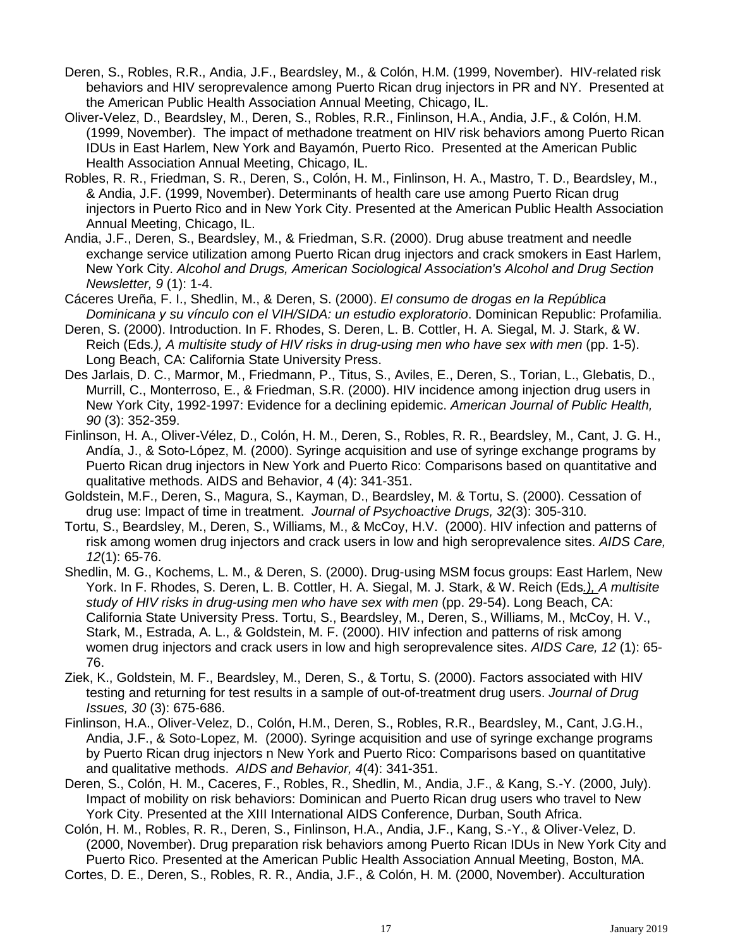- Deren, S., Robles, R.R., Andia, J.F., Beardsley, M., & Colón, H.M. (1999, November). HIV-related risk behaviors and HIV seroprevalence among Puerto Rican drug injectors in PR and NY. Presented at the American Public Health Association Annual Meeting, Chicago, IL.
- Oliver-Velez, D., Beardsley, M., Deren, S., Robles, R.R., Finlinson, H.A., Andia, J.F., & Colón, H.M. (1999, November). The impact of methadone treatment on HIV risk behaviors among Puerto Rican IDUs in East Harlem, New York and Bayamón, Puerto Rico. Presented at the American Public Health Association Annual Meeting, Chicago, IL.
- Robles, R. R., Friedman, S. R., Deren, S., Colón, H. M., Finlinson, H. A., Mastro, T. D., Beardsley, M., & Andia, J.F. (1999, November). Determinants of health care use among Puerto Rican drug injectors in Puerto Rico and in New York City. Presented at the American Public Health Association Annual Meeting, Chicago, IL.
- Andia, J.F., Deren, S., Beardsley, M., & Friedman, S.R. (2000). Drug abuse treatment and needle exchange service utilization among Puerto Rican drug injectors and crack smokers in East Harlem, New York City. *Alcohol and Drugs, American Sociological Association's Alcohol and Drug Section Newsletter, 9* (1): 1-4.
- Cáceres Ureña, F. I., Shedlin, M., & Deren, S. (2000). *El consumo de drogas en la República Dominicana y su vínculo con el VIH/SIDA: un estudio exploratorio*. Dominican Republic: Profamilia.
- Deren, S. (2000). Introduction. In F. Rhodes, S. Deren, L. B. Cottler, H. A. Siegal, M. J. Stark, & W. Reich (Eds*.), A multisite study of HIV risks in drug-using men who have sex with men* (pp. 1-5). Long Beach, CA: California State University Press.
- Des Jarlais, D. C., Marmor, M., Friedmann, P., Titus, S., Aviles, E., Deren, S., Torian, L., Glebatis, D., Murrill, C., Monterroso, E., & Friedman, S.R. (2000). HIV incidence among injection drug users in New York City, 1992-1997: Evidence for a declining epidemic. *American Journal of Public Health, 90* (3): 352-359.
- Finlinson, H. A., Oliver-Vélez, D., Colón, H. M., Deren, S., Robles, R. R., Beardsley, M., Cant, J. G. H., Andía, J., & Soto-López, M. (2000). Syringe acquisition and use of syringe exchange programs by Puerto Rican drug injectors in New York and Puerto Rico: Comparisons based on quantitative and qualitative methods. AIDS and Behavior, 4 (4): 341-351.
- Goldstein, M.F., Deren, S., Magura, S., Kayman, D., Beardsley, M. & Tortu, S. (2000). Cessation of drug use: Impact of time in treatment. *Journal of Psychoactive Drugs, 32*(3): 305-310.
- Tortu, S., Beardsley, M., Deren, S., Williams, M., & McCoy, H.V. (2000). HIV infection and patterns of risk among women drug injectors and crack users in low and high seroprevalence sites. *AIDS Care, 12*(1): 65-76.
- Shedlin, M. G., Kochems, L. M., & Deren, S. (2000). Drug-using MSM focus groups: East Harlem, New York. In F. Rhodes, S. Deren, L. B. Cottler, H. A. Siegal, M. J. Stark, & W. Reich (Eds*.), A multisite study of HIV risks in drug-using men who have sex with men* (pp. 29-54). Long Beach, CA: California State University Press. Tortu, S., Beardsley, M., Deren, S., Williams, M., McCoy, H. V., Stark, M., Estrada, A. L., & Goldstein, M. F. (2000). HIV infection and patterns of risk among women drug injectors and crack users in low and high seroprevalence sites. *AIDS Care, 12* (1): 65- 76.
- Ziek, K., Goldstein, M. F., Beardsley, M., Deren, S., & Tortu, S. (2000). Factors associated with HIV testing and returning for test results in a sample of out-of-treatment drug users. *Journal of Drug Issues, 30* (3): 675-686.
- Finlinson, H.A., Oliver-Velez, D., Colón, H.M., Deren, S., Robles, R.R., Beardsley, M., Cant, J.G.H., Andia, J.F., & Soto-Lopez, M. (2000). Syringe acquisition and use of syringe exchange programs by Puerto Rican drug injectors n New York and Puerto Rico: Comparisons based on quantitative and qualitative methods. *AIDS and Behavior, 4*(4): 341-351.
- Deren, S., Colón, H. M., Caceres, F., Robles, R., Shedlin, M., Andia, J.F., & Kang, S.-Y. (2000, July). Impact of mobility on risk behaviors: Dominican and Puerto Rican drug users who travel to New York City. Presented at the XIII International AIDS Conference, Durban, South Africa.

Colón, H. M., Robles, R. R., Deren, S., Finlinson, H.A., Andia, J.F., Kang, S.-Y., & Oliver-Velez, D. (2000, November). Drug preparation risk behaviors among Puerto Rican IDUs in New York City and Puerto Rico. Presented at the American Public Health Association Annual Meeting, Boston, MA. Cortes, D. E., Deren, S., Robles, R. R., Andia, J.F., & Colón, H. M. (2000, November). Acculturation

17 January 2019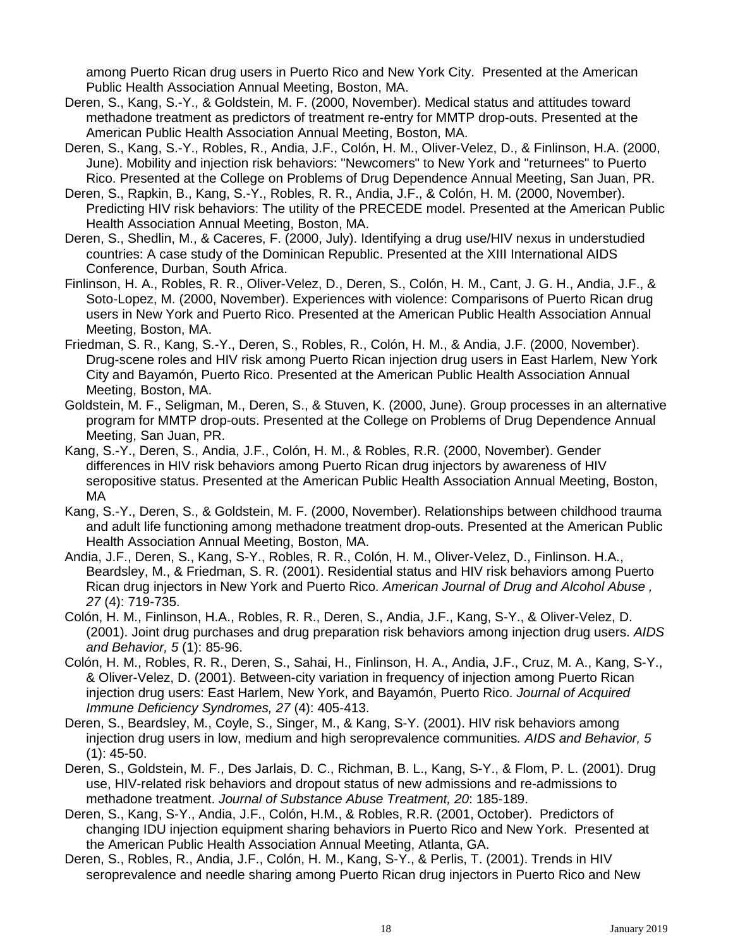among Puerto Rican drug users in Puerto Rico and New York City. Presented at the American Public Health Association Annual Meeting, Boston, MA.

- Deren, S., Kang, S.-Y., & Goldstein, M. F. (2000, November). Medical status and attitudes toward methadone treatment as predictors of treatment re-entry for MMTP drop-outs. Presented at the American Public Health Association Annual Meeting, Boston, MA.
- Deren, S., Kang, S.-Y., Robles, R., Andia, J.F., Colón, H. M., Oliver-Velez, D., & Finlinson, H.A. (2000, June). Mobility and injection risk behaviors: "Newcomers" to New York and "returnees" to Puerto Rico. Presented at the College on Problems of Drug Dependence Annual Meeting, San Juan, PR.
- Deren, S., Rapkin, B., Kang, S.-Y., Robles, R. R., Andia, J.F., & Colón, H. M. (2000, November). Predicting HIV risk behaviors: The utility of the PRECEDE model. Presented at the American Public Health Association Annual Meeting, Boston, MA.
- Deren, S., Shedlin, M., & Caceres, F. (2000, July). Identifying a drug use/HIV nexus in understudied countries: A case study of the Dominican Republic. Presented at the XIII International AIDS Conference, Durban, South Africa.
- Finlinson, H. A., Robles, R. R., Oliver-Velez, D., Deren, S., Colón, H. M., Cant, J. G. H., Andia, J.F., & Soto-Lopez, M. (2000, November). Experiences with violence: Comparisons of Puerto Rican drug users in New York and Puerto Rico. Presented at the American Public Health Association Annual Meeting, Boston, MA.
- Friedman, S. R., Kang, S.-Y., Deren, S., Robles, R., Colón, H. M., & Andia, J.F. (2000, November). Drug-scene roles and HIV risk among Puerto Rican injection drug users in East Harlem, New York City and Bayamón, Puerto Rico. Presented at the American Public Health Association Annual Meeting, Boston, MA.
- Goldstein, M. F., Seligman, M., Deren, S., & Stuven, K. (2000, June). Group processes in an alternative program for MMTP drop-outs. Presented at the College on Problems of Drug Dependence Annual Meeting, San Juan, PR.
- Kang, S.-Y., Deren, S., Andia, J.F., Colón, H. M., & Robles, R.R. (2000, November). Gender differences in HIV risk behaviors among Puerto Rican drug injectors by awareness of HIV seropositive status. Presented at the American Public Health Association Annual Meeting, Boston, MA
- Kang, S.-Y., Deren, S., & Goldstein, M. F. (2000, November). Relationships between childhood trauma and adult life functioning among methadone treatment drop-outs. Presented at the American Public Health Association Annual Meeting, Boston, MA.
- Andia, J.F., Deren, S., Kang, S-Y., Robles, R. R., Colón, H. M., Oliver-Velez, D., Finlinson. H.A., Beardsley, M., & Friedman, S. R. (2001). Residential status and HIV risk behaviors among Puerto Rican drug injectors in New York and Puerto Rico. *American Journal of Drug and Alcohol Abuse , 27* (4): 719-735.
- Colón, H. M., Finlinson, H.A., Robles, R. R., Deren, S., Andia, J.F., Kang, S-Y., & Oliver-Velez, D. (2001). Joint drug purchases and drug preparation risk behaviors among injection drug users. *AIDS and Behavior, 5* (1): 85-96.
- Colón, H. M., Robles, R. R., Deren, S., Sahai, H., Finlinson, H. A., Andia, J.F., Cruz, M. A., Kang, S-Y., & Oliver-Velez, D. (2001). Between-city variation in frequency of injection among Puerto Rican injection drug users: East Harlem, New York, and Bayamón, Puerto Rico. *Journal of Acquired Immune Deficiency Syndromes, 27* (4): 405-413.
- Deren, S., Beardsley, M., Coyle, S., Singer, M., & Kang, S-Y. (2001). HIV risk behaviors among injection drug users in low, medium and high seroprevalence communities*. AIDS and Behavior, 5* (1): 45-50.
- Deren, S., Goldstein, M. F., Des Jarlais, D. C., Richman, B. L., Kang, S-Y., & Flom, P. L. (2001). Drug use, HIV-related risk behaviors and dropout status of new admissions and re-admissions to methadone treatment. *Journal of Substance Abuse Treatment, 20*: 185-189.
- Deren, S., Kang, S-Y., Andia, J.F., Colón, H.M., & Robles, R.R. (2001, October). Predictors of changing IDU injection equipment sharing behaviors in Puerto Rico and New York. Presented at the American Public Health Association Annual Meeting, Atlanta, GA.
- Deren, S., Robles, R., Andia, J.F., Colón, H. M., Kang, S-Y., & Perlis, T. (2001). Trends in HIV seroprevalence and needle sharing among Puerto Rican drug injectors in Puerto Rico and New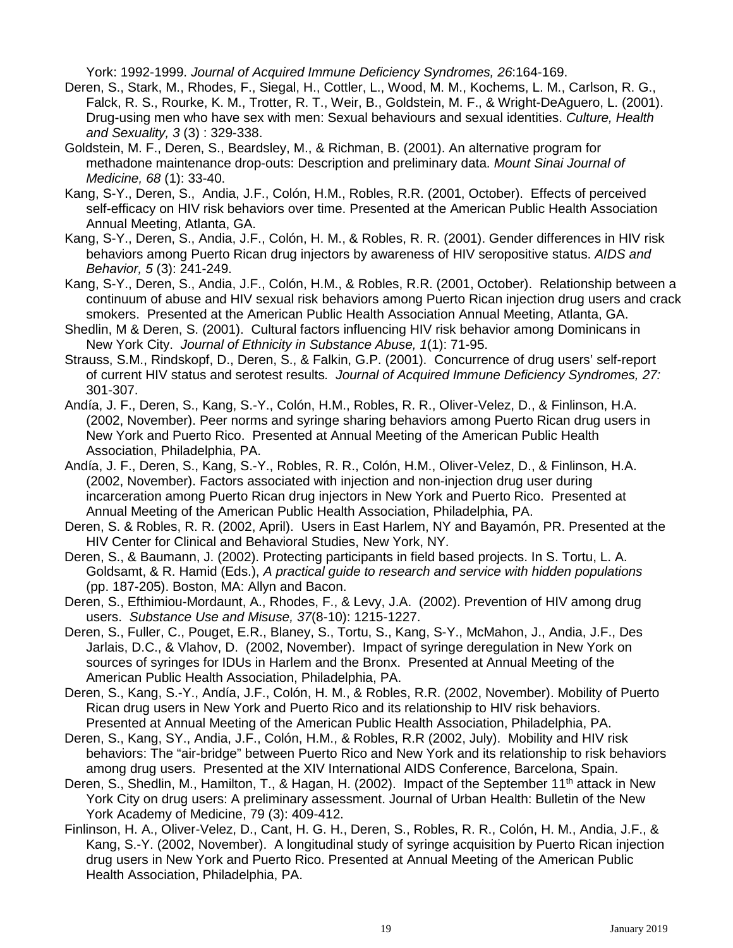York: 1992-1999. *Journal of Acquired Immune Deficiency Syndromes, 26*:164-169.

- Deren, S., Stark, M., Rhodes, F., Siegal, H., Cottler, L., Wood, M. M., Kochems, L. M., Carlson, R. G., Falck, R. S., Rourke, K. M., Trotter, R. T., Weir, B., Goldstein, M. F., & Wright-DeAguero, L. (2001). Drug-using men who have sex with men: Sexual behaviours and sexual identities. *Culture, Health and Sexuality, 3* (3) : 329-338.
- Goldstein, M. F., Deren, S., Beardsley, M., & Richman, B. (2001). An alternative program for methadone maintenance drop-outs: Description and preliminary data. *Mount Sinai Journal of Medicine, 68* (1): 33-40.
- Kang, S-Y., Deren, S., Andia, J.F., Colón, H.M., Robles, R.R. (2001, October). Effects of perceived self-efficacy on HIV risk behaviors over time. Presented at the American Public Health Association Annual Meeting, Atlanta, GA.
- Kang, S-Y., Deren, S., Andia, J.F., Colón, H. M., & Robles, R. R. (2001). Gender differences in HIV risk behaviors among Puerto Rican drug injectors by awareness of HIV seropositive status. *AIDS and Behavior, 5* (3): 241-249.
- Kang, S-Y., Deren, S., Andia, J.F., Colón, H.M., & Robles, R.R. (2001, October). Relationship between a continuum of abuse and HIV sexual risk behaviors among Puerto Rican injection drug users and crack smokers. Presented at the American Public Health Association Annual Meeting, Atlanta, GA.
- Shedlin, M & Deren, S. (2001). Cultural factors influencing HIV risk behavior among Dominicans in New York City. *Journal of Ethnicity in Substance Abuse, 1*(1): 71-95.
- Strauss, S.M., Rindskopf, D., Deren, S., & Falkin, G.P. (2001). Concurrence of drug users' self-report of current HIV status and serotest results*. Journal of Acquired Immune Deficiency Syndromes, 27:* 301-307.
- Andía, J. F., Deren, S., Kang, S.-Y., Colón, H.M., Robles, R. R., Oliver-Velez, D., & Finlinson, H.A. (2002, November). Peer norms and syringe sharing behaviors among Puerto Rican drug users in New York and Puerto Rico. Presented at Annual Meeting of the American Public Health Association, Philadelphia, PA.
- Andía, J. F., Deren, S., Kang, S.-Y., Robles, R. R., Colón, H.M., Oliver-Velez, D., & Finlinson, H.A. (2002, November). Factors associated with injection and non-injection drug user during incarceration among Puerto Rican drug injectors in New York and Puerto Rico. Presented at Annual Meeting of the American Public Health Association, Philadelphia, PA.
- Deren, S. & Robles, R. R. (2002, April). Users in East Harlem, NY and Bayamón, PR. Presented at the HIV Center for Clinical and Behavioral Studies, New York, NY.
- Deren, S., & Baumann, J. (2002). Protecting participants in field based projects. In S. Tortu, L. A. Goldsamt, & R. Hamid (Eds.), *A practical guide to research and service with hidden populations* (pp. 187-205). Boston, MA: Allyn and Bacon.
- Deren, S., Efthimiou-Mordaunt, A., Rhodes, F., & Levy, J.A. (2002). Prevention of HIV among drug users. *Substance Use and Misuse, 37*(8-10): 1215-1227.
- Deren, S., Fuller, C., Pouget, E.R., Blaney, S., Tortu, S., Kang, S-Y., McMahon, J., Andia, J.F., Des Jarlais, D.C., & Vlahov, D. (2002, November). Impact of syringe deregulation in New York on sources of syringes for IDUs in Harlem and the Bronx. Presented at Annual Meeting of the American Public Health Association, Philadelphia, PA.
- Deren, S., Kang, S.-Y., Andía, J.F., Colón, H. M., & Robles, R.R. (2002, November). Mobility of Puerto Rican drug users in New York and Puerto Rico and its relationship to HIV risk behaviors. Presented at Annual Meeting of the American Public Health Association, Philadelphia, PA.
- Deren, S., Kang, SY., Andia, J.F., Colón, H.M., & Robles, R.R (2002, July). Mobility and HIV risk behaviors: The "air-bridge" between Puerto Rico and New York and its relationship to risk behaviors among drug users. Presented at the XIV International AIDS Conference, Barcelona, Spain.
- Deren, S., Shedlin, M., Hamilton, T., & Hagan, H. (2002). Impact of the September 11<sup>th</sup> attack in New York City on drug users: A preliminary assessment. Journal of Urban Health: Bulletin of the New York Academy of Medicine, 79 (3): 409-412.
- Finlinson, H. A., Oliver-Velez, D., Cant, H. G. H., Deren, S., Robles, R. R., Colón, H. M., Andia, J.F., & Kang, S.-Y. (2002, November). A longitudinal study of syringe acquisition by Puerto Rican injection drug users in New York and Puerto Rico. Presented at Annual Meeting of the American Public Health Association, Philadelphia, PA.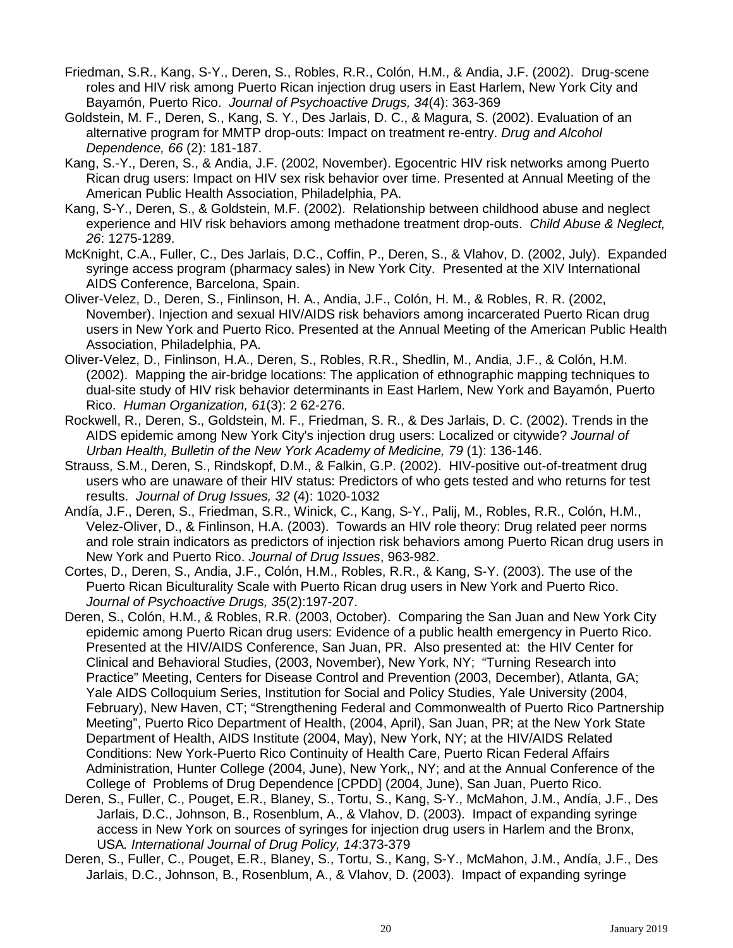- Friedman, S.R., Kang, S-Y., Deren, S., Robles, R.R., Colón, H.M., & Andia, J.F. (2002). Drug-scene roles and HIV risk among Puerto Rican injection drug users in East Harlem, New York City and Bayamón, Puerto Rico. *Journal of Psychoactive Drugs, 34*(4): 363-369
- Goldstein, M. F., Deren, S., Kang, S. Y., Des Jarlais, D. C., & Magura, S. (2002). Evaluation of an alternative program for MMTP drop-outs: Impact on treatment re-entry. *Drug and Alcohol Dependence, 66* (2): 181-187.
- Kang, S.-Y., Deren, S., & Andia, J.F. (2002, November). Egocentric HIV risk networks among Puerto Rican drug users: Impact on HIV sex risk behavior over time. Presented at Annual Meeting of the American Public Health Association, Philadelphia, PA.
- Kang, S-Y., Deren, S., & Goldstein, M.F. (2002). Relationship between childhood abuse and neglect experience and HIV risk behaviors among methadone treatment drop-outs. *Child Abuse & Neglect, 26*: 1275-1289.
- McKnight, C.A., Fuller, C., Des Jarlais, D.C., Coffin, P., Deren, S., & Vlahov, D. (2002, July). Expanded syringe access program (pharmacy sales) in New York City. Presented at the XIV International AIDS Conference, Barcelona, Spain.
- Oliver-Velez, D., Deren, S., Finlinson, H. A., Andia, J.F., Colón, H. M., & Robles, R. R. (2002, November). Injection and sexual HIV/AIDS risk behaviors among incarcerated Puerto Rican drug users in New York and Puerto Rico. Presented at the Annual Meeting of the American Public Health Association, Philadelphia, PA.
- Oliver-Velez, D., Finlinson, H.A., Deren, S., Robles, R.R., Shedlin, M., Andia, J.F., & Colón, H.M. (2002). Mapping the air-bridge locations: The application of ethnographic mapping techniques to dual-site study of HIV risk behavior determinants in East Harlem, New York and Bayamón, Puerto Rico. *Human Organization, 61*(3): 2 62-276.
- Rockwell, R., Deren, S., Goldstein, M. F., Friedman, S. R., & Des Jarlais, D. C. (2002). Trends in the AIDS epidemic among New York City's injection drug users: Localized or citywide? *Journal of Urban Health, Bulletin of the New York Academy of Medicine, 79* (1): 136-146.
- Strauss, S.M., Deren, S., Rindskopf, D.M., & Falkin, G.P. (2002). HIV-positive out-of-treatment drug users who are unaware of their HIV status: Predictors of who gets tested and who returns for test results. *Journal of Drug Issues, 32* (4): 1020-1032
- Andía, J.F., Deren, S., Friedman, S.R., Winick, C., Kang, S-Y., Palij, M., Robles, R.R., Colón, H.M., Velez-Oliver, D., & Finlinson, H.A. (2003). Towards an HIV role theory: Drug related peer norms and role strain indicators as predictors of injection risk behaviors among Puerto Rican drug users in New York and Puerto Rico. *Journal of Drug Issues*, 963-982.
- Cortes, D., Deren, S., Andia, J.F., Colón, H.M., Robles, R.R., & Kang, S-Y. (2003). The use of the Puerto Rican Biculturality Scale with Puerto Rican drug users in New York and Puerto Rico. *Journal of Psychoactive Drugs, 35*(2):197-207.
- Deren, S., Colón, H.M., & Robles, R.R. (2003, October). Comparing the San Juan and New York City epidemic among Puerto Rican drug users: Evidence of a public health emergency in Puerto Rico. Presented at the HIV/AIDS Conference, San Juan, PR. Also presented at: the HIV Center for Clinical and Behavioral Studies, (2003, November), New York, NY; "Turning Research into Practice" Meeting, Centers for Disease Control and Prevention (2003, December), Atlanta, GA; Yale AIDS Colloquium Series, Institution for Social and Policy Studies, Yale University (2004, February), New Haven, CT; "Strengthening Federal and Commonwealth of Puerto Rico Partnership Meeting", Puerto Rico Department of Health, (2004, April), San Juan, PR; at the New York State Department of Health, AIDS Institute (2004, May), New York, NY; at the HIV/AIDS Related Conditions: New York-Puerto Rico Continuity of Health Care, Puerto Rican Federal Affairs Administration, Hunter College (2004, June), New York,, NY; and at the Annual Conference of the College of Problems of Drug Dependence [CPDD] (2004, June), San Juan, Puerto Rico.
- Deren, S., Fuller, C., Pouget, E.R., Blaney, S., Tortu, S., Kang, S-Y., McMahon, J.M., Andía, J.F., Des Jarlais, D.C., Johnson, B., Rosenblum, A., & Vlahov, D. (2003). Impact of expanding syringe access in New York on sources of syringes for injection drug users in Harlem and the Bronx, USA*. International Journal of Drug Policy, 14*:373-379
- Deren, S., Fuller, C., Pouget, E.R., Blaney, S., Tortu, S., Kang, S-Y., McMahon, J.M., Andía, J.F., Des Jarlais, D.C., Johnson, B., Rosenblum, A., & Vlahov, D. (2003). Impact of expanding syringe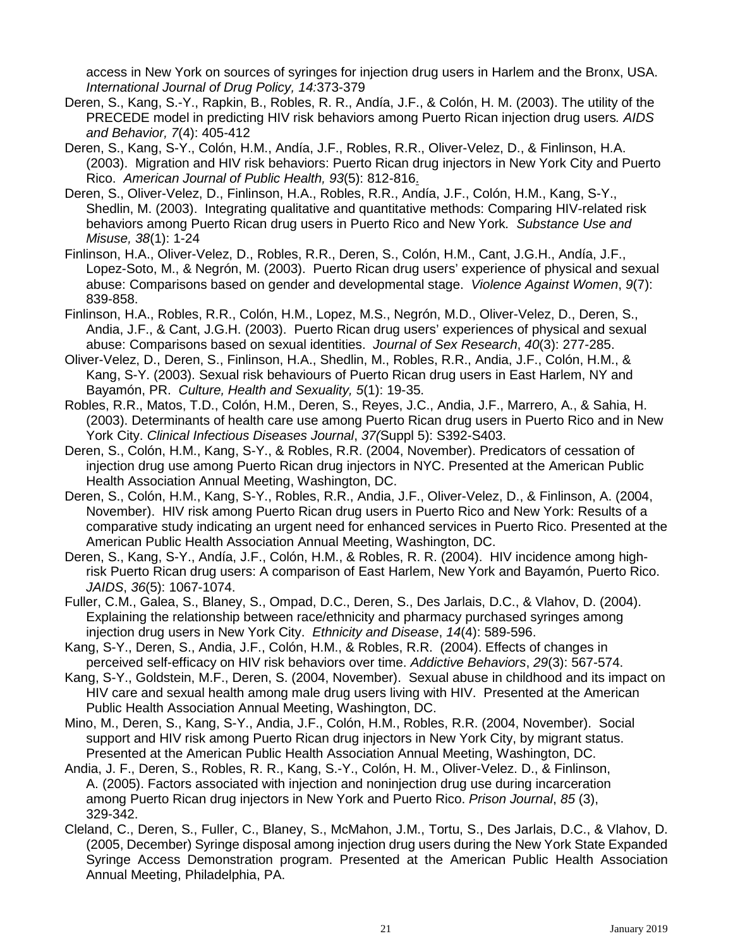access in New York on sources of syringes for injection drug users in Harlem and the Bronx, USA. *International Journal of Drug Policy, 14:*373-379

- Deren, S., Kang, S.-Y., Rapkin, B., Robles, R. R., Andía, J.F., & Colón, H. M. (2003). The utility of the PRECEDE model in predicting HIV risk behaviors among Puerto Rican injection drug users*. AIDS and Behavior, 7*(4): 405-412
- Deren, S., Kang, S-Y., Colón, H.M., Andía, J.F., Robles, R.R., Oliver-Velez, D., & Finlinson, H.A. (2003). Migration and HIV risk behaviors: Puerto Rican drug injectors in New York City and Puerto Rico. *American Journal of Public Health, 93*(5): 812-816.
- Deren, S., Oliver-Velez, D., Finlinson, H.A., Robles, R.R., Andía, J.F., Colón, H.M., Kang, S-Y., Shedlin, M. (2003). Integrating qualitative and quantitative methods: Comparing HIV-related risk behaviors among Puerto Rican drug users in Puerto Rico and New York*. Substance Use and Misuse, 38*(1): 1-24
- Finlinson, H.A., Oliver-Velez, D., Robles, R.R., Deren, S., Colón, H.M., Cant, J.G.H., Andía, J.F., Lopez-Soto, M., & Negrón, M. (2003). Puerto Rican drug users' experience of physical and sexual abuse: Comparisons based on gender and developmental stage. *Violence Against Women*, *9*(7): 839-858.
- Finlinson, H.A., Robles, R.R., Colón, H.M., Lopez, M.S., Negrón, M.D., Oliver-Velez, D., Deren, S., Andia, J.F., & Cant, J.G.H. (2003). Puerto Rican drug users' experiences of physical and sexual abuse: Comparisons based on sexual identities. *Journal of Sex Research*, *40*(3): 277-285.
- Oliver-Velez, D., Deren, S., Finlinson, H.A., Shedlin, M., Robles, R.R., Andia, J.F., Colón, H.M., & Kang, S-Y. (2003). Sexual risk behaviours of Puerto Rican drug users in East Harlem, NY and Bayamón, PR. *Culture, Health and Sexuality, 5*(1): 19-35.
- Robles, R.R., Matos, T.D., Colón, H.M., Deren, S., Reyes, J.C., Andia, J.F., Marrero, A., & Sahia, H. (2003). Determinants of health care use among Puerto Rican drug users in Puerto Rico and in New York City. *Clinical Infectious Diseases Journal*, *37(*Suppl 5): S392-S403.
- Deren, S., Colón, H.M., Kang, S-Y., & Robles, R.R. (2004, November). Predicators of cessation of injection drug use among Puerto Rican drug injectors in NYC. Presented at the American Public Health Association Annual Meeting, Washington, DC.
- Deren, S., Colón, H.M., Kang, S-Y., Robles, R.R., Andia, J.F., Oliver-Velez, D., & Finlinson, A. (2004, November). HIV risk among Puerto Rican drug users in Puerto Rico and New York: Results of a comparative study indicating an urgent need for enhanced services in Puerto Rico. Presented at the American Public Health Association Annual Meeting, Washington, DC.
- Deren, S., Kang, S-Y., Andía, J.F., Colón, H.M., & Robles, R. R. (2004). HIV incidence among highrisk Puerto Rican drug users: A comparison of East Harlem, New York and Bayamón, Puerto Rico. *JAIDS*, *36*(5): 1067-1074.
- Fuller, C.M., Galea, S., Blaney, S., Ompad, D.C., Deren, S., Des Jarlais, D.C., & Vlahov, D. (2004). Explaining the relationship between race/ethnicity and pharmacy purchased syringes among injection drug users in New York City. *Ethnicity and Disease*, *14*(4): 589-596.
- Kang, S-Y., Deren, S., Andia, J.F., Colón, H.M., & Robles, R.R. (2004). Effects of changes in perceived self-efficacy on HIV risk behaviors over time. *Addictive Behaviors*, *29*(3): 567-574.
- Kang, S-Y., Goldstein, M.F., Deren, S. (2004, November). Sexual abuse in childhood and its impact on HIV care and sexual health among male drug users living with HIV. Presented at the American Public Health Association Annual Meeting, Washington, DC.
- Mino, M., Deren, S., Kang, S-Y., Andia, J.F., Colón, H.M., Robles, R.R. (2004, November). Social support and HIV risk among Puerto Rican drug injectors in New York City, by migrant status. Presented at the American Public Health Association Annual Meeting, Washington, DC.
- Andia, J. F., Deren, S., Robles, R. R., Kang, S.-Y., Colón, H. M., Oliver-Velez. D., & Finlinson, A. (2005). Factors associated with injection and noninjection drug use during incarceration among Puerto Rican drug injectors in New York and Puerto Rico. *Prison Journal*, *85* (3), 329-342.
- Cleland, C., Deren, S., Fuller, C., Blaney, S., McMahon, J.M., Tortu, S., Des Jarlais, D.C., & Vlahov, D. (2005, December) Syringe disposal among injection drug users during the New York State Expanded Syringe Access Demonstration program. Presented at the American Public Health Association Annual Meeting, Philadelphia, PA.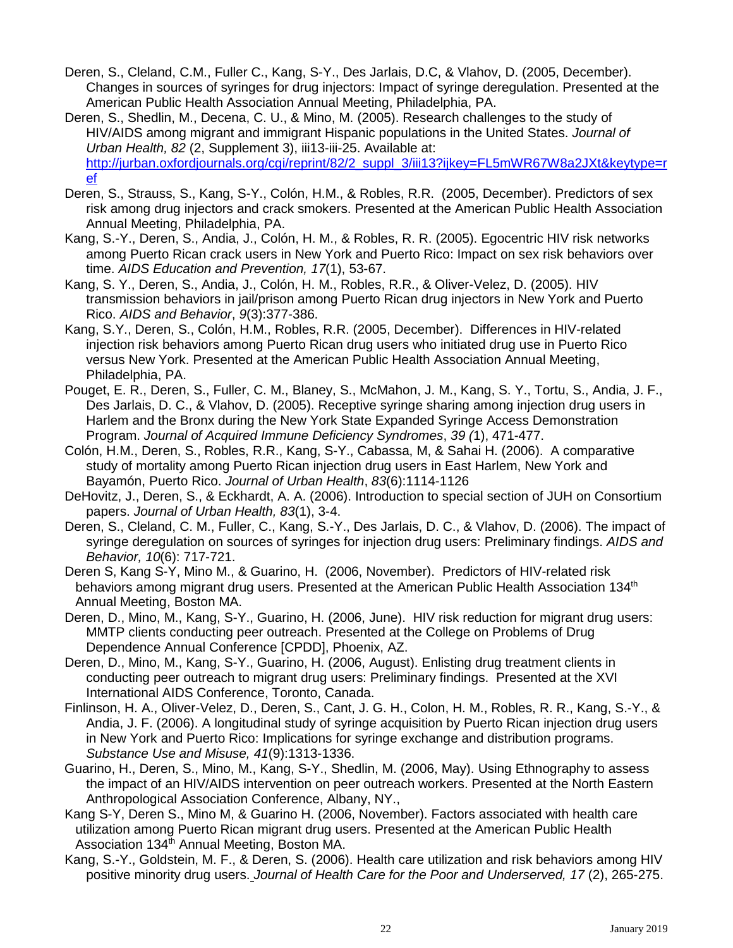- Deren, S., Cleland, C.M., Fuller C., Kang, S-Y., Des Jarlais, D.C, & Vlahov, D. (2005, December). Changes in sources of syringes for drug injectors: Impact of syringe deregulation. Presented at the American Public Health Association Annual Meeting, Philadelphia, PA.
- Deren, S., Shedlin, M., Decena, C. U., & Mino, M. (2005). Research challenges to the study of HIV/AIDS among migrant and immigrant Hispanic populations in the United States. *Journal of Urban Health, 82* (2, Supplement 3), iii13-iii-25. Available at: [http://jurban.oxfordjournals.org/cgi/reprint/82/2\\_suppl\\_3/iii13?ijkey=FL5mWR67W8a2JXt&keytype=r](http://jurban.oxfordjournals.org/cgi/reprint/82/2_suppl_3/iii13?ijkey=FL5mWR67W8a2JXt&keytype=ref) [ef](http://jurban.oxfordjournals.org/cgi/reprint/82/2_suppl_3/iii13?ijkey=FL5mWR67W8a2JXt&keytype=ref)
- Deren, S., Strauss, S., Kang, S-Y., Colón, H.M., & Robles, R.R. (2005, December). Predictors of sex risk among drug injectors and crack smokers. Presented at the American Public Health Association Annual Meeting, Philadelphia, PA.
- Kang, S.-Y., Deren, S., Andia, J., Colón, H. M., & Robles, R. R. (2005). Egocentric HIV risk networks among Puerto Rican crack users in New York and Puerto Rico: Impact on sex risk behaviors over time. *AIDS Education and Prevention, 17*(1), 53-67.
- Kang, S. Y., Deren, S., Andia, J., Colón, H. M., Robles, R.R., & Oliver-Velez, D. (2005). HIV transmission behaviors in jail/prison among Puerto Rican drug injectors in New York and Puerto Rico. *AIDS and Behavior*, *9*(3):377-386.
- Kang, S.Y., Deren, S., Colón, H.M., Robles, R.R. (2005, December). Differences in HIV-related injection risk behaviors among Puerto Rican drug users who initiated drug use in Puerto Rico versus New York. Presented at the American Public Health Association Annual Meeting, Philadelphia, PA.
- Pouget, E. R., Deren, S., Fuller, C. M., Blaney, S., McMahon, J. M., Kang, S. Y., Tortu, S., Andia, J. F., Des Jarlais, D. C., & Vlahov, D. (2005). Receptive syringe sharing among injection drug users in Harlem and the Bronx during the New York State Expanded Syringe Access Demonstration Program. *Journal of Acquired Immune Deficiency Syndromes*, *39 (*1), 471-477.
- Colón, H.M., Deren, S., Robles, R.R., Kang, S-Y., Cabassa, M, & Sahai H. (2006). A comparative study of mortality among Puerto Rican injection drug users in East Harlem, New York and Bayamón, Puerto Rico. *Journal of Urban Health*, *83*(6):1114-1126
- DeHovitz, J., Deren, S., & Eckhardt, A. A. (2006). Introduction to special section of JUH on Consortium papers. *Journal of Urban Health, 83*(1), 3-4.
- Deren, S., Cleland, C. M., Fuller, C., Kang, S.-Y., Des Jarlais, D. C., & Vlahov, D. (2006). The impact of syringe deregulation on sources of syringes for injection drug users: Preliminary findings. *AIDS and Behavior, 10*(6): 717-721.
- Deren S, Kang S-Y, Mino M., & Guarino, H. (2006, November). Predictors of HIV-related risk behaviors among migrant drug users. Presented at the American Public Health Association 134<sup>th</sup> Annual Meeting, Boston MA.
- Deren, D., Mino, M., Kang, S-Y., Guarino, H. (2006, June). HIV risk reduction for migrant drug users: MMTP clients conducting peer outreach. Presented at the College on Problems of Drug Dependence Annual Conference [CPDD], Phoenix, AZ.
- Deren, D., Mino, M., Kang, S-Y., Guarino, H. (2006, August). Enlisting drug treatment clients in conducting peer outreach to migrant drug users: Preliminary findings. Presented at the XVI International AIDS Conference, Toronto, Canada.
- Finlinson, H. A., Oliver-Velez, D., Deren, S., Cant, J. G. H., Colon, H. M., Robles, R. R., Kang, S.-Y., & Andia, J. F. (2006). A longitudinal study of syringe acquisition by Puerto Rican injection drug users in New York and Puerto Rico: Implications for syringe exchange and distribution programs. *Substance Use and Misuse, 41*(9):1313-1336.
- Guarino, H., Deren, S., Mino, M., Kang, S-Y., Shedlin, M. (2006, May). Using Ethnography to assess the impact of an HIV/AIDS intervention on peer outreach workers. Presented at the North Eastern Anthropological Association Conference, Albany, NY.,
- Kang S-Y, Deren S., Mino M, & Guarino H. (2006, November). Factors associated with health care utilization among Puerto Rican migrant drug users. Presented at the American Public Health Association 134<sup>th</sup> Annual Meeting, Boston MA.
- Kang, S.-Y., Goldstein, M. F., & Deren, S. (2006). Health care utilization and risk behaviors among HIV positive minority drug users. *Journal of Health Care for the Poor and Underserved, 17* (2), 265-275.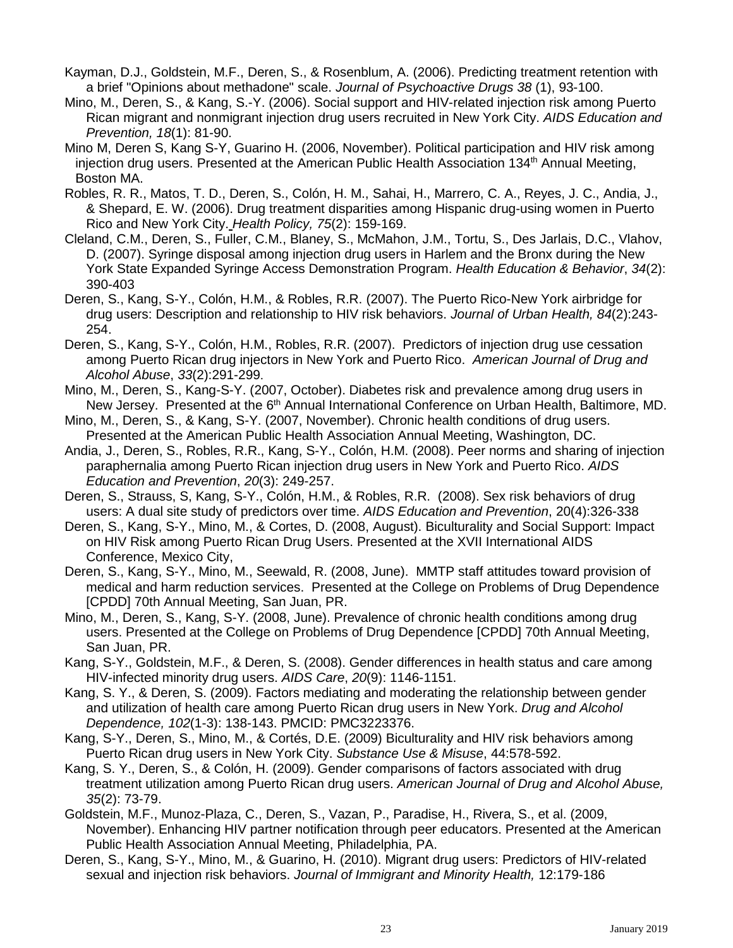- Kayman, D.J., Goldstein, M.F., Deren, S., & Rosenblum, A. (2006). Predicting treatment retention with a brief "Opinions about methadone" scale. *Journal of Psychoactive Drugs 38* (1), 93-100.
- Mino, M., Deren, S., & Kang, S.-Y. (2006). Social support and HIV-related injection risk among Puerto Rican migrant and nonmigrant injection drug users recruited in New York City. *AIDS Education and Prevention, 18*(1): 81-90.
- Mino M, Deren S, Kang S-Y, Guarino H. (2006, November). Political participation and HIV risk among injection drug users. Presented at the American Public Health Association  $134<sup>th</sup>$  Annual Meeting, Boston MA.
- Robles, R. R., Matos, T. D., Deren, S., Colón, H. M., Sahai, H., Marrero, C. A., Reyes, J. C., Andia, J., & Shepard, E. W. (2006). Drug treatment disparities among Hispanic drug-using women in Puerto Rico and New York City. *Health Policy, 75*(2): 159-169.
- Cleland, C.M., Deren, S., Fuller, C.M., Blaney, S., McMahon, J.M., Tortu, S., Des Jarlais, D.C., Vlahov, D. (2007). Syringe disposal among injection drug users in Harlem and the Bronx during the New York State Expanded Syringe Access Demonstration Program. *Health Education & Behavior*, *34*(2): 390-403
- Deren, S., Kang, S-Y., Colón, H.M., & Robles, R.R. (2007). The Puerto Rico-New York airbridge for drug users: Description and relationship to HIV risk behaviors. *Journal of Urban Health, 84*(2):243- 254.
- Deren, S., Kang, S-Y., Colón, H.M., Robles, R.R. (2007). Predictors of injection drug use cessation among Puerto Rican drug injectors in New York and Puerto Rico. *American Journal of Drug and Alcohol Abuse*, *33*(2):291-299.
- Mino, M., Deren, S., Kang-S-Y. (2007, October). Diabetes risk and prevalence among drug users in New Jersey. Presented at the 6<sup>th</sup> Annual International Conference on Urban Health, Baltimore, MD.
- Mino, M., Deren, S., & Kang, S-Y. (2007, November). Chronic health conditions of drug users. Presented at the American Public Health Association Annual Meeting, Washington, DC.
- Andia, J., Deren, S., Robles, R.R., Kang, S-Y., Colón, H.M. (2008). Peer norms and sharing of injection paraphernalia among Puerto Rican injection drug users in New York and Puerto Rico. *AIDS Education and Prevention*, *20*(3): 249-257.
- Deren, S., Strauss, S, Kang, S-Y., Colón, H.M., & Robles, R.R. (2008). Sex risk behaviors of drug users: A dual site study of predictors over time. *AIDS Education and Prevention*, 20(4):326-338
- Deren, S., Kang, S-Y., Mino, M., & Cortes, D. (2008, August). Biculturality and Social Support: Impact on HIV Risk among Puerto Rican Drug Users. Presented at the XVII International AIDS Conference, Mexico City,
- Deren, S., Kang, S-Y., Mino, M., Seewald, R. (2008, June). MMTP staff attitudes toward provision of medical and harm reduction services. Presented at the College on Problems of Drug Dependence [CPDD] 70th Annual Meeting, San Juan, PR.
- Mino, M., Deren, S., Kang, S-Y. (2008, June). Prevalence of chronic health conditions among drug users. Presented at the College on Problems of Drug Dependence [CPDD] 70th Annual Meeting, San Juan, PR.
- Kang, S-Y., Goldstein, M.F., & Deren, S. (2008). Gender differences in health status and care among HIV-infected minority drug users. *AIDS Care*, *20*(9): 1146-1151.
- Kang, S. Y., & Deren, S. (2009). Factors mediating and moderating the relationship between gender and utilization of health care among Puerto Rican drug users in New York. *Drug and Alcohol Dependence, 102*(1-3): 138-143. PMCID: PMC3223376.
- Kang, S-Y., Deren, S., Mino, M., & Cortés, D.E. (2009) Biculturality and HIV risk behaviors among Puerto Rican drug users in New York City. *Substance Use & Misuse*, 44:578-592.
- Kang, S. Y., Deren, S., & Colón, H. (2009). Gender comparisons of factors associated with drug treatment utilization among Puerto Rican drug users. *American Journal of Drug and Alcohol Abuse, 35*(2): 73-79.
- Goldstein, M.F., Munoz-Plaza, C., Deren, S., Vazan, P., Paradise, H., Rivera, S., et al. (2009, November). Enhancing HIV partner notification through peer educators. Presented at the American Public Health Association Annual Meeting, Philadelphia, PA.
- Deren, S., Kang, S-Y., Mino, M., & Guarino, H. (2010). Migrant drug users: Predictors of HIV-related sexual and injection risk behaviors. *Journal of Immigrant and Minority Health,* 12:179-186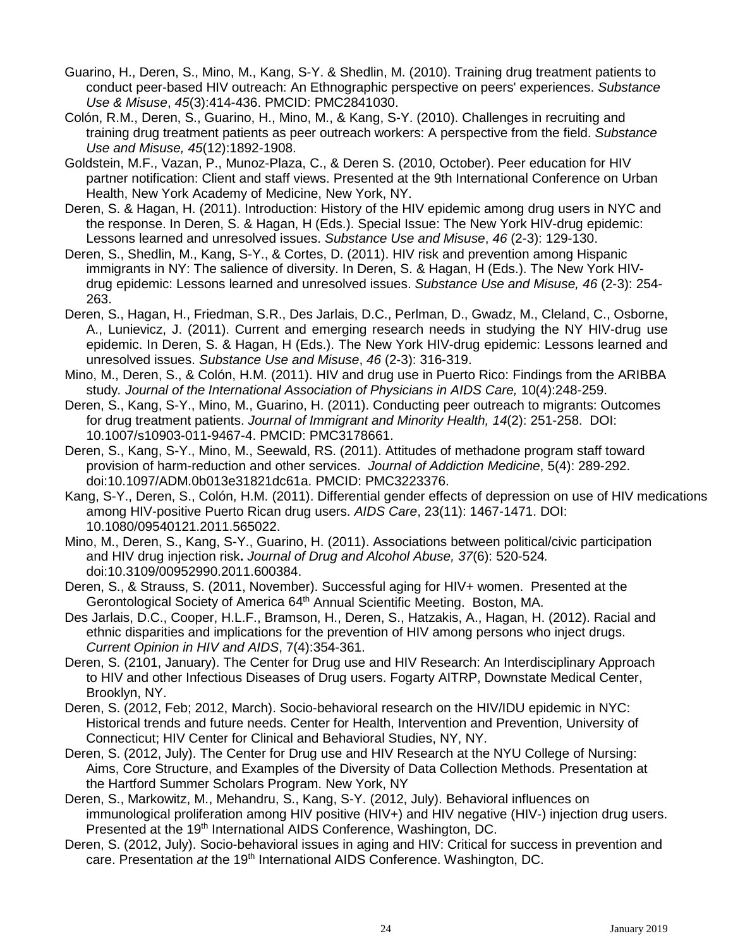- Guarino, H., Deren, S., Mino, M., Kang, S-Y. & Shedlin, M. (2010). Training drug treatment patients to conduct peer-based HIV outreach: An Ethnographic perspective on peers' experiences. *Substance Use & Misuse*, *45*(3):414-436. PMCID: PMC2841030.
- Colón, R.M., Deren, S., Guarino, H., Mino, M., & Kang, S-Y. (2010). Challenges in recruiting and training drug treatment patients as peer outreach workers: A perspective from the field. *Substance Use and Misuse, 45*(12):1892-1908.
- Goldstein, M.F., Vazan, P., Munoz-Plaza, C., & Deren S. (2010, October). Peer education for HIV partner notification: Client and staff views. Presented at the 9th International Conference on Urban Health, New York Academy of Medicine, New York, NY.
- Deren, S. & Hagan, H. (2011). Introduction: History of the HIV epidemic among drug users in NYC and the response. In Deren, S. & Hagan, H (Eds.). Special Issue: The New York HIV-drug epidemic: Lessons learned and unresolved issues. *Substance Use and Misuse*, *46* (2-3): 129-130.
- Deren, S., Shedlin, M., Kang, S-Y., & Cortes, D. (2011). HIV risk and prevention among Hispanic immigrants in NY: The salience of diversity. In Deren, S. & Hagan, H (Eds.). The New York HIVdrug epidemic: Lessons learned and unresolved issues. *Substance Use and Misuse, 46* (2-3): 254- 263.
- Deren, S., Hagan, H., Friedman, S.R., Des Jarlais, D.C., Perlman, D., Gwadz, M., Cleland, C., Osborne, A., Lunievicz, J. (2011). Current and emerging research needs in studying the NY HIV-drug use epidemic. In Deren, S. & Hagan, H (Eds.). The New York HIV-drug epidemic: Lessons learned and unresolved issues. *Substance Use and Misuse*, *46* (2-3): 316-319.
- Mino, M., Deren, S., & Colón, H.M. (2011). HIV and drug use in Puerto Rico: Findings from the ARIBBA study*. Journal of the International Association of Physicians in AIDS Care,* 10(4):248-259.
- Deren, S., Kang, S-Y., Mino, M., Guarino, H. (2011). Conducting peer outreach to migrants: Outcomes for drug treatment patients. *Journal of Immigrant and Minority Health, 14*(2): 251-258. DOI: 10.1007/s10903-011-9467-4. PMCID: PMC3178661.
- Deren, S., Kang, S-Y., Mino, M., Seewald, RS. (2011). Attitudes of methadone program staff toward provision of harm-reduction and other services. *Journal of Addiction Medicine*, 5(4): 289-292. doi:10.1097/ADM.0b013e31821dc61a. PMCID: PMC3223376.
- Kang, S-Y., Deren, S., Colón, H.M. (2011). Differential gender effects of depression on use of HIV medications among HIV-positive Puerto Rican drug users. *AIDS Care*, 23(11): 1467-1471. DOI: 10.1080/09540121.2011.565022.
- Mino, M., Deren, S., Kang, S-Y., Guarino, H. (2011). Associations between political/civic participation and HIV drug injection risk**.** *Journal of Drug and Alcohol Abuse, 37*(6): 520-524*.*  doi:10.3109/00952990.2011.600384.
- Deren, S., & Strauss, S. (2011, November). Successful aging for HIV+ women. Presented at the Gerontological Society of America 64th Annual Scientific Meeting. Boston, MA.
- Des Jarlais, D.C., Cooper, H.L.F., Bramson, H., Deren, S., Hatzakis, A., Hagan, H. (2012). Racial and ethnic disparities and implications for the prevention of HIV among persons who inject drugs. *Current Opinion in HIV and AIDS*, 7(4):354-361.
- Deren, S. (2101, January). The Center for Drug use and HIV Research: An Interdisciplinary Approach to HIV and other Infectious Diseases of Drug users. Fogarty AITRP, Downstate Medical Center, Brooklyn, NY.
- Deren, S. (2012, Feb; 2012, March). Socio-behavioral research on the HIV/IDU epidemic in NYC: Historical trends and future needs. Center for Health, Intervention and Prevention, University of Connecticut; HIV Center for Clinical and Behavioral Studies, NY, NY.
- Deren, S. (2012, July). The Center for Drug use and HIV Research at the NYU College of Nursing: Aims, Core Structure, and Examples of the Diversity of Data Collection Methods. Presentation at the Hartford Summer Scholars Program. New York, NY
- Deren, S., Markowitz, M., Mehandru, S., Kang, S-Y. (2012, July). Behavioral influences on immunological proliferation among HIV positive (HIV+) and HIV negative (HIV-) injection drug users. Presented at the 19<sup>th</sup> International AIDS Conference, Washington, DC.
- Deren, S. (2012, July). Socio-behavioral issues in aging and HIV: Critical for success in prevention and care. Presentation *at* the 19th International AIDS Conference. Washington, DC.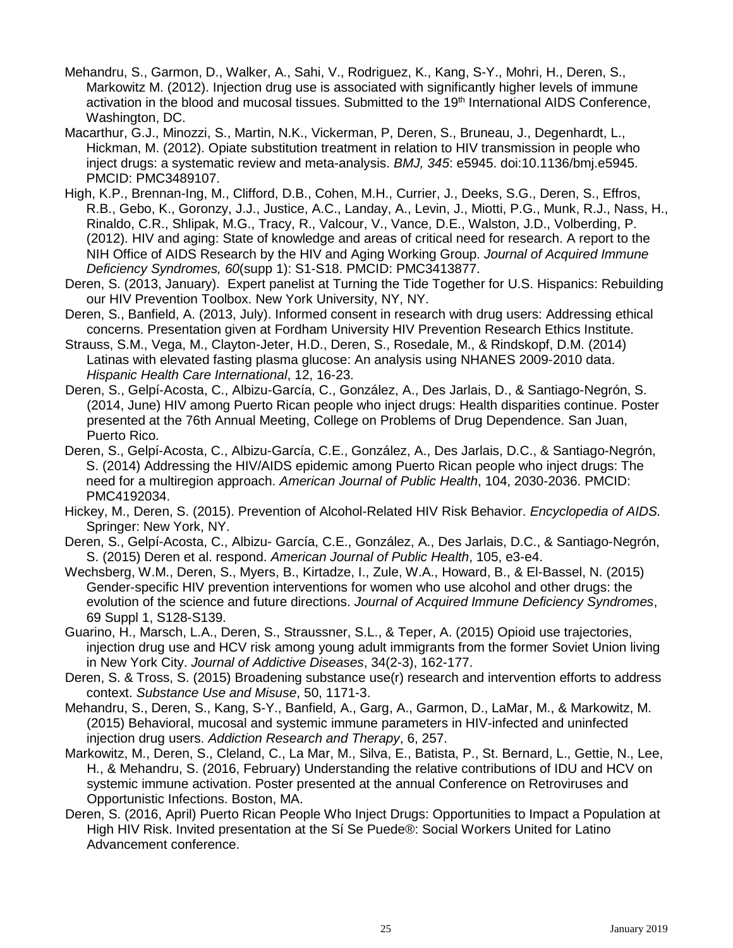- Mehandru, S., Garmon, D., Walker, A., Sahi, V., Rodriguez, K., Kang, S-Y., Mohri, H., Deren, S., Markowitz M. (2012). Injection drug use is associated with significantly higher levels of immune activation in the blood and mucosal tissues. Submitted to the 19<sup>th</sup> International AIDS Conference, Washington, DC.
- Macarthur, G.J., Minozzi, S., Martin, N.K., Vickerman, P, Deren, S., Bruneau, J., Degenhardt, L., Hickman, M. (2012). Opiate substitution treatment in relation to HIV transmission in people who inject drugs: a systematic review and meta-analysis. *BMJ, 345*: e5945. doi:10.1136/bmj.e5945. PMCID: PMC3489107.
- High, K.P., Brennan-Ing, M., Clifford, D.B., Cohen, M.H., Currier, J., Deeks, S.G., Deren, S., Effros, R.B., Gebo, K., Goronzy, J.J., Justice, A.C., Landay, A., Levin, J., Miotti, P.G., Munk, R.J., Nass, H., Rinaldo, C.R., Shlipak, M.G., Tracy, R., Valcour, V., Vance, D.E., Walston, J.D., Volberding, P. (2012). HIV and aging: State of knowledge and areas of critical need for research. A report to the NIH Office of AIDS Research by the HIV and Aging Working Group. *Journal of Acquired Immune Deficiency Syndromes, 60*(supp 1): S1-S18. PMCID: PMC3413877.
- Deren, S. (2013, January). Expert panelist at Turning the Tide Together for U.S. Hispanics: Rebuilding our HIV Prevention Toolbox. New York University, NY, NY.
- Deren, S., Banfield, A. (2013, July). Informed consent in research with drug users: Addressing ethical concerns. Presentation given at Fordham University HIV Prevention Research Ethics Institute.
- Strauss, S.M., Vega, M., Clayton-Jeter, H.D., Deren, S., Rosedale, M., & Rindskopf, D.M. (2014) Latinas with elevated fasting plasma glucose: An analysis using NHANES 2009-2010 data. *Hispanic Health Care International*, 12, 16-23.
- Deren, S., Gelpí-Acosta, C., Albizu-García, C., González, A., Des Jarlais, D., & Santiago-Negrón, S. (2014, June) HIV among Puerto Rican people who inject drugs: Health disparities continue. Poster presented at the 76th Annual Meeting, College on Problems of Drug Dependence. San Juan, Puerto Rico.
- Deren, S., Gelpí-Acosta, C., Albizu-García, C.E., González, A., Des Jarlais, D.C., & Santiago-Negrón, S. (2014) Addressing the HIV/AIDS epidemic among Puerto Rican people who inject drugs: The need for a multiregion approach. *American Journal of Public Health*, 104, 2030-2036. PMCID: PMC4192034.
- Hickey, M., Deren, S. (2015). Prevention of Alcohol-Related HIV Risk Behavior. *Encyclopedia of AIDS.* Springer: New York, NY.
- Deren, S., Gelpí-Acosta, C., Albizu- García, C.E., González, A., Des Jarlais, D.C., & Santiago-Negrón, S. (2015) Deren et al. respond. *American Journal of Public Health*, 105, e3-e4.
- Wechsberg, W.M., Deren, S., Myers, B., Kirtadze, I., Zule, W.A., Howard, B., & El-Bassel, N. (2015) Gender-specific HIV prevention interventions for women who use alcohol and other drugs: the evolution of the science and future directions. *Journal of Acquired Immune Deficiency Syndromes*, 69 Suppl 1, S128-S139.
- Guarino, H., Marsch, L.A., Deren, S., Straussner, S.L., & Teper, A. (2015) Opioid use trajectories, injection drug use and HCV risk among young adult immigrants from the former Soviet Union living in New York City. *Journal of Addictive Diseases*, 34(2-3), 162-177.
- Deren, S. & Tross, S. (2015) Broadening substance use(r) research and intervention efforts to address context. *Substance Use and Misuse*, 50, 1171-3.
- Mehandru, S., Deren, S., Kang, S-Y., Banfield, A., Garg, A., Garmon, D., LaMar, M., & Markowitz, M. (2015) Behavioral, mucosal and systemic immune parameters in HIV-infected and uninfected injection drug users. *Addiction Research and Therapy*, 6, 257.
- Markowitz, M., Deren, S., Cleland, C., La Mar, M., Silva, E., Batista, P., St. Bernard, L., Gettie, N., Lee, H., & Mehandru, S. (2016, February) Understanding the relative contributions of IDU and HCV on systemic immune activation. Poster presented at the annual Conference on Retroviruses and Opportunistic Infections. Boston, MA.
- Deren, S. (2016, April) Puerto Rican People Who Inject Drugs: Opportunities to Impact a Population at High HIV Risk. Invited presentation at the Sí Se Puede®: Social Workers United for Latino Advancement conference.